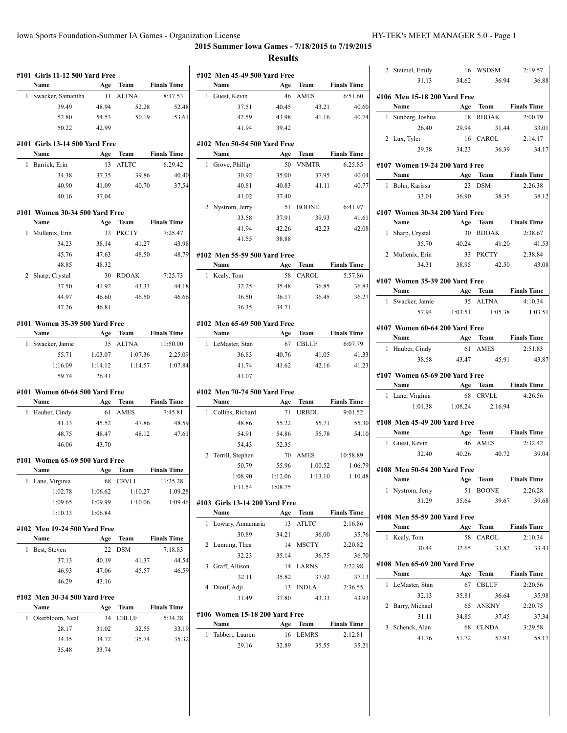| #101 Girls 11-12 500 Yard Free |                |          |                    |                                | #102 Men 45-49 500 Yard Free |          |                    |
|--------------------------------|----------------|----------|--------------------|--------------------------------|------------------------------|----------|--------------------|
| Name                           |                | Age Team | <b>Finals Time</b> | Name                           |                              | Age Team | <b>Finals Time</b> |
| 1 Swacker, Samantha            |                | 11 ALTNA | 8:17.53            | 1 Guest, Kevin                 |                              | 46 AMES  | 6:51.60            |
| 39.49                          | 48.94          | 52.28    | 52.48              | 37.51                          | 40.45                        | 43.21    | 40.60              |
| 52.80                          | 54.53          | 50.19    | 53.61              | 42.59                          | 43.98                        | 41.16    | 40.74              |
| 50.22                          | 42.99          |          |                    | 41.94                          | 39.42                        |          |                    |
| #101 Girls 13-14 500 Yard Free |                |          |                    | #102 Men 50-54 500 Yard Free   |                              |          |                    |
| Name                           | Age            | Team     | <b>Finals Time</b> | Name                           | Age                          | Team     | <b>Finals Time</b> |
| 1 Barrick, Erin                |                | 13 ATLTC | 6:29.42            | 1 Grove, Phillip               |                              | 50 VNMTR | 6:25.85            |
| 34.38                          | 37.35          | 39.86    | 40.40              | 30.92                          | 35.00                        |          | 40.04              |
|                                |                |          |                    |                                |                              | 37.95    |                    |
| 40.90                          | 41.09          | 40.70    | 37.54              | 40.81                          | 40.83                        | 41.11    | 40.77              |
| 40.16                          | 37.04          |          |                    | 41.02                          | 37.40                        |          |                    |
| #101 Women 30-34 500 Yard Free |                |          |                    | 2 Nystrom, Jerry               |                              | 51 BOONE | 6:41.97            |
| Name                           | Age            | Team     | <b>Finals Time</b> | 33.58                          | 37.91                        | 39.93    | 41.61              |
| 1 Mullenix, Erin               |                | 33 PKCTY | 7:25.47            | 41.94                          | 42.26                        | 42.23    | 42.08              |
| 34.23                          | 38.14          | 41.27    | 43.98              | 41.55                          | 38.88                        |          |                    |
| 45.76                          | 47.63          | 48.50    | 48.79              | #102 Men 55-59 500 Yard Free   |                              |          |                    |
| 48.85                          | 48.32          |          |                    | Name                           |                              | Age Team | <b>Finals Time</b> |
| 2 Sharp, Crystal               |                | 30 RDOAK | 7:25.73            | 1 Kealy, Tom                   |                              | 58 CAROL | 5:57.86            |
| 37.50                          | 41.92          | 43.33    | 44.18              | 32.25                          | 35.48                        | 36.85    | 36.83              |
| 44.97                          | 46.60          | 46.50    | 46.66              | 36.50                          | 36.17                        | 36.45    | 36.27              |
|                                |                |          |                    |                                |                              |          |                    |
| 47.26                          | 46.81          |          |                    | 36.35                          | 34.71                        |          |                    |
| #101 Women 35-39 500 Yard Free |                |          |                    | #102 Men 65-69 500 Yard Free   |                              |          |                    |
| Name                           | Age            | Team     | <b>Finals Time</b> | Name                           |                              | Age Team | <b>Finals Time</b> |
|                                |                | 35 ALTNA | 11:50.00           | 1 LeMaster, Stan               |                              | 67 CBLUF | 6:07.79            |
| 1 Swacker, Jamie               |                |          |                    |                                |                              |          |                    |
| 55.71                          | 1:03.07        | 1:07.36  | 2:25.09            | 36.83                          | 40.76                        | 41.05    | 41.33              |
| 1:16.09                        | 1:14.12        | 1:14.57  | 1:07.84            | 41.74                          | 41.62                        | 42.16    | 41.23              |
| 59.74                          | 26.41          |          |                    | 41.07                          |                              |          |                    |
|                                |                |          |                    |                                |                              |          |                    |
| #101 Women 60-64 500 Yard Free |                |          |                    | #102 Men 70-74 500 Yard Free   |                              |          |                    |
| Name                           | Age            | Team     | <b>Finals Time</b> | Name                           |                              | Age Team | <b>Finals Time</b> |
| 1 Hauber, Cindy                |                | 61 AMES  | 7:45.81            | 1 Collins, Richard             |                              | 71 URBDL | 9:01.52            |
| 41.13                          | 45.52          | 47.86    | 48.59              | 48.86                          | 55.22                        | 55.71    | 55.30              |
| 48.75                          | 48.47          | 48.12    | 47.61              | 54.91                          | 54.86                        | 55.78    | 54.10              |
| 46.06                          | 43.70          |          |                    | 54.43                          | 52.35                        |          |                    |
| #101 Women 65-69 500 Yard Free |                |          |                    | 2 Terrill, Stephen             |                              | 70 AMES  | 10:58.89           |
| Name                           | Age            | Team     | <b>Finals Time</b> | 50.79                          | 55.96                        | 1:00.52  | 1:06.79            |
| 1 Lane, Virginia               |                | 68 CRVLL | 11:25.28           | 1:08.90                        | 1:12.06                      | 1:13.10  | 1:10.48            |
| 1:02.78                        | 1:06.62        | 1:10.27  | 1:09.28            | 1:11.54                        | 1:08.75                      |          |                    |
| 1:09.65                        | 1:09.99        | 1:10.06  | 1:09.46            | #103 Girls 13-14 200 Yard Free |                              |          |                    |
| 1:10.33                        | 1:06.84        |          |                    | Name                           |                              | Age Team | <b>Finals Time</b> |
|                                |                |          |                    | 1 Lowary, Annamaria            |                              | 13 ATLTC | 2:16.86            |
| #102 Men 19-24 500 Yard Free   |                |          |                    | 30.89                          | 34.21                        | 36.00    |                    |
| Name                           |                | Age Team | <b>Finals Time</b> |                                |                              |          | 35.76              |
| 1 Best, Steven                 |                | 22 DSM   | 7:18.83            | 2 Lunning, Thea                |                              | 14 MSCTY | 2:20.82            |
| 37.13                          | 40.19          | 41.37    | 44.54              | 32.23                          | 35.14                        | 36.75    | 36.70              |
| 46.93                          | 47.06          | 45.57    | 46.59              | 3 Graff, Allison               |                              | 14 LARNS | 2:22.98            |
| 46.29                          | 43.16          |          |                    | 32.11                          | 35.82                        | 37.92    | 37.13              |
|                                |                |          |                    | 4 Diouf, Adji                  |                              | 13 INDLA | 2:36.55            |
| #102 Men 30-34 500 Yard Free   |                |          |                    | 31.49                          | 37.80                        | 43.33    | 43.93              |
| Name                           |                | Age Team | <b>Finals Time</b> | #106 Women 15-18 200 Yard Free |                              |          |                    |
| 1 Okerbloom, Neal              |                | 34 CBLUF | 5:34.28            | Name                           |                              | Age Team | <b>Finals Time</b> |
| 28.17                          | 31.02          | 32.55    | 33.19              | 1 Tabbert, Lauren              |                              | 16 LEMRS | 2:12.81            |
| 34.35<br>35.48                 | 34.72<br>33.74 | 35.74    | 35.32              | 29.16                          | 32.89                        | 35.55    | 35.21              |

|   | 2 Steimel, Emily                       |                               | 16 WSDSM          | 2:19.57                                                                |
|---|----------------------------------------|-------------------------------|-------------------|------------------------------------------------------------------------|
|   |                                        | 31.13 34.62                   | 36.94             | 36.88                                                                  |
|   |                                        |                               |                   |                                                                        |
|   | #106 Men 15-18 200 Yard Free           |                               |                   |                                                                        |
|   | Name                                   |                               |                   | Age Team Finals Time                                                   |
|   | 1 Sunberg, Joshua                      |                               | 18 RDOAK          | 2:00.79                                                                |
|   | 26.40                                  | 29.94                         | 31.44             | 33.01                                                                  |
|   | 2 Lux, Tyler                           |                               | 16 CAROL          | 2:14.17                                                                |
|   | 29.38                                  | 34.23                         | 36.39             | 34.17                                                                  |
|   | #107 Women 19-24 200 Yard Free         |                               |                   |                                                                        |
|   | Name                                   |                               |                   | Age Team Finals Time                                                   |
|   | 1 Bohn, Karissa                        |                               | 23 DSM            | 2:26.38                                                                |
|   | 33.01                                  | 36.90                         | 38.35             | 38.12                                                                  |
|   |                                        |                               |                   |                                                                        |
|   | #107 Women 30-34 200 Yard Free<br>Name |                               |                   | Age Team Finals Time                                                   |
|   | 1 Sharp, Crystal                       | 30                            | <b>RDOAK</b>      | 2:38.67                                                                |
|   | 35.70                                  |                               | 41.20             |                                                                        |
|   | 2 Mullenix, Erin                       | 40.24                         | 33 PKCTY          | 41.53<br>2:38.84                                                       |
|   | 34.31                                  | 38.95                         | 42.50             | 43.08                                                                  |
|   |                                        |                               |                   |                                                                        |
|   | #107 Women 35-39 200 Yard Free         |                               |                   |                                                                        |
|   | Name                                   |                               |                   | Age Team Finals Time                                                   |
|   | 1 Swacker, Jamie                       |                               | 35 ALTNA          | 4:10.34                                                                |
|   |                                        |                               |                   | 57.94 1:03.51 1:05.38 1:03.51                                          |
|   |                                        |                               |                   |                                                                        |
|   |                                        |                               |                   |                                                                        |
|   | #107 Women 60-64 200 Yard Free         |                               |                   |                                                                        |
|   | Name Age Team Finals Time              |                               |                   |                                                                        |
|   | 1 Hauber, Cindy                        |                               | 61 AMES           | 2:51.83                                                                |
|   | 38.58                                  | 43.47                         | 45.91             |                                                                        |
|   | #107 Women 65-69 200 Yard Free         |                               |                   |                                                                        |
|   | Name Age Team Finals Time              |                               |                   |                                                                        |
|   | 1 Lane, Virginia                       |                               | 68 CRVLL          | 4:26.56                                                                |
|   |                                        | $1:01.38$ $1:08.24$ $2:16.94$ |                   |                                                                        |
|   | #108 Men 45-49 200 Yard Free           |                               |                   |                                                                        |
|   | <b>Name</b>                            |                               |                   | Age Team Finals Time                                                   |
|   | 1 Guest, Kevin                         |                               | 46 AMES           | 2:32.42                                                                |
|   | 32.40                                  | 40.26                         | 40.72             |                                                                        |
|   |                                        |                               |                   |                                                                        |
|   | #108 Men 50-54 200 Yard Free           |                               |                   |                                                                        |
|   | Name                                   | Age                           | <b>Team</b>       | <b>Finals Time</b>                                                     |
| 1 | Nystrom, Jerry                         | 51                            | <b>BOONE</b>      | 2:26.28                                                                |
|   | 31.29                                  | 35.64                         | 39.67             |                                                                        |
|   | #108 Men 55-59 200 Yard Free           |                               |                   |                                                                        |
|   | Name                                   | Age                           | Team              | <b>Finals Time</b>                                                     |
| 1 | Kealy, Tom                             | 58                            | CAROL             | 2:10.34                                                                |
|   | 30.44                                  | 32.65                         | 33.82             |                                                                        |
|   |                                        |                               |                   |                                                                        |
|   | #108 Men 65-69 200 Yard Free<br>Name   | Age                           | Team              | <b>Finals Time</b>                                                     |
| 1 | LeMaster, Stan                         | 67                            | <b>CBLUF</b>      | 2:20.56                                                                |
|   | 32.13                                  | 35.81                         | 36.64             |                                                                        |
| 2 |                                        |                               |                   |                                                                        |
|   | Barry, Michael                         | 65                            | ANKNY             | 2:20.75                                                                |
|   | 31.11                                  | 34.85                         | 37.45             |                                                                        |
| 3 | Schenck, Alan<br>41.76                 | 51.72                         | 68 CLNDA<br>57.93 | 43.87<br>39.04<br>39.68<br>33.43<br>35.98<br>37.34<br>3:29.58<br>58.17 |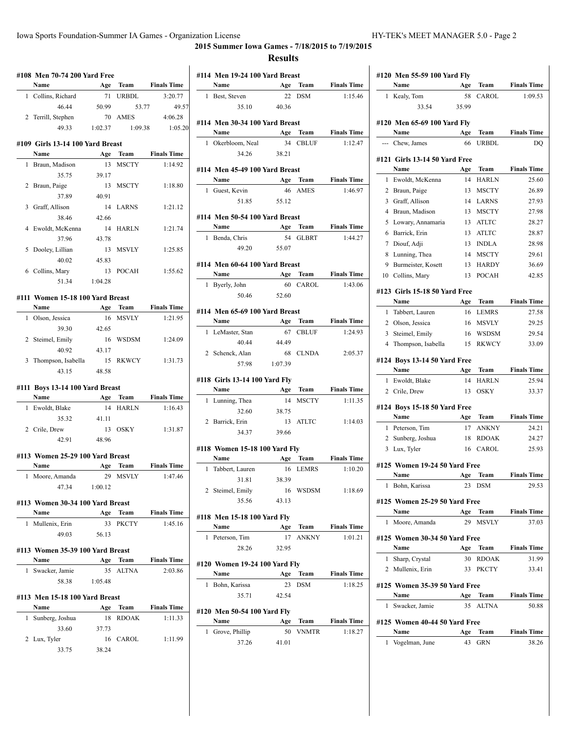# **2015 Summer Iowa Games - 7/18/2015 to 7/19/2015**

#### **Results**

|              | #108 Men 70-74 200 Yard Free             |           |                      |                               |
|--------------|------------------------------------------|-----------|----------------------|-------------------------------|
|              | Name                                     | Age       | <b>Team</b>          | <b>Finals Time</b>            |
| 1            | Collins, Richard                         | 71        | URBDL                | 3:20.77                       |
|              | 46.44                                    | 50.99     | 53.77                | 49.57                         |
| $\mathbf{2}$ | Terrill, Stephen                         |           | 70 AMES              | 4:06.28                       |
|              | 49.33                                    | 1:02.37   | 1:09.38              | 1:05.20                       |
|              | #109 Girls 13-14 100 Yard Breast         |           |                      |                               |
|              | Name                                     | Age       | Team                 | <b>Finals Time</b>            |
| 1            | Braun, Madison                           | 13        | <b>MSCTY</b>         | 1:14.92                       |
|              | 35.75                                    | 39.17     |                      |                               |
| 2            | Braun, Paige                             | 13        | <b>MSCTY</b>         | 1:18.80                       |
|              | 37.89                                    | 40.91     |                      |                               |
|              | 3 Graff, Allison                         | 14        | LARNS                | 1:21.12                       |
|              | 38.46                                    | 42.66     |                      |                               |
|              | 4 Ewoldt, McKenna                        | 14        | HARLN                | 1:21.74                       |
|              | 37.96                                    | 43.78     |                      |                               |
| 5            | Dooley, Lillian                          |           | 13 MSVLY             | 1:25.85                       |
|              | 40.02                                    | 45.83     |                      |                               |
|              | 6 Collins, Mary                          | 13        | POCAH                | 1:55.62                       |
|              | 51.34                                    | 1:04.28   |                      |                               |
|              |                                          |           |                      |                               |
|              | #111 Women 15-18 100 Yard Breast<br>Name | Age       | Team                 | <b>Finals Time</b>            |
| 1            | Olson, Jessica                           | 16        | <b>MSVLY</b>         | 1:21.95                       |
|              | 39.30                                    | 42.65     |                      |                               |
| 2            | Steimel, Emily                           | 16        | WSDSM                | 1:24.09                       |
|              | 40.92                                    | 43.17     |                      |                               |
|              | 3 Thompson, Isabella                     |           | 15 RKWCY             | 1:31.73                       |
|              | 43.15                                    | 48.58     |                      |                               |
|              |                                          |           |                      |                               |
|              | #111 Boys 13-14 100 Yard Breast<br>Name  |           |                      |                               |
| 1            | Ewoldt, Blake                            | Age<br>14 | Team<br><b>HARLN</b> | <b>Finals Time</b><br>1:16.43 |
|              | 35.32                                    | 41.11     |                      |                               |
|              | 2 Crile, Drew                            |           | 13 OSKY              | 1:31.87                       |
|              | 42.91                                    | 48.96     |                      |                               |
|              |                                          |           |                      |                               |
|              | #113 Women 25-29 100 Yard Breast         |           |                      |                               |
|              | Name                                     | Age       | Team                 | <b>Finals Time</b>            |
| 1            | Moore, Amanda                            | 29        | <b>MSVLY</b>         | 1:47.46                       |
|              | 47.34                                    | 1:00.12   |                      |                               |
|              | #113 Women 30-34 100 Yard Breast         |           |                      |                               |
|              | Name                                     | Age       | <b>Team</b>          | <b>Finals Time</b>            |
| $\mathbf{1}$ | Mullenix, Erin                           | 33        | PKCTY                | 1:45.16                       |
|              | 49.03                                    | 56.13     |                      |                               |
|              | #113 Women 35-39 100 Yard Breast         |           |                      |                               |
|              | Name                                     | Age       | Team                 | <b>Finals Time</b>            |
| $\mathbf{1}$ | Swacker, Jamie                           | 35        | <b>ALTNA</b>         | 2:03.86                       |
|              | 58.38                                    | 1:05.48   |                      |                               |
|              |                                          |           |                      |                               |
|              | #113 Men 15-18 100 Yard Breast           |           |                      |                               |
|              | Name                                     | Age       | Team                 | <b>Finals Time</b>            |
| 1            | Sunberg, Joshua                          | 18        | <b>RDOAK</b>         | 1:11.33                       |
|              | 33.60                                    | 37.73     |                      |                               |
|              | 2 Lux, Tyler                             |           | 16 CAROL             | 1:11.99                       |
|              | 33.75                                    | 38.24     |                      |                               |
|              |                                          |           |                      |                               |

|              | #114 Men 19-24 100 Yard Breast<br>Name        |           | Age Team             | <b>Finals Time</b>                                                        |
|--------------|-----------------------------------------------|-----------|----------------------|---------------------------------------------------------------------------|
|              | 1 Best, Steven                                |           | 22 DSM               | 1:15.46                                                                   |
|              | 35.10                                         | 40.36     |                      |                                                                           |
|              |                                               |           |                      |                                                                           |
|              | #114 Men 30-34 100 Yard Breast                |           |                      |                                                                           |
|              | Name                                          |           | Age Team             | <b>Finals Time</b>                                                        |
|              | 1 Okerbloom, Neal                             |           | 34 CBLUF             | 1:12.47                                                                   |
|              | 34.26                                         | 38.21     |                      |                                                                           |
|              | #114 Men 45-49 100 Yard Breast                |           |                      |                                                                           |
|              | Name                                          |           | Age Team             | <b>Finals Time</b>                                                        |
|              | 1 Guest, Kevin                                |           | 46 AMES              | 1:46.97                                                                   |
|              | 51.85                                         | 55.12     |                      |                                                                           |
|              |                                               |           |                      |                                                                           |
|              | #114 Men 50-54 100 Yard Breast<br><b>Name</b> |           | Age Team             | <b>Finals Time</b>                                                        |
|              |                                               |           | 54 GLBRT             | 1:44.27                                                                   |
|              | 1 Benda, Chris<br>49.20                       | 55.07     |                      |                                                                           |
|              |                                               |           |                      |                                                                           |
|              | #114 Men 60-64 100 Yard Breast                |           |                      |                                                                           |
|              | Name                                          |           | Age Team             | <b>Finals Time</b>                                                        |
|              | 1 Byerly, John                                |           | 60 CAROL             | 1:43.06                                                                   |
|              | 50.46                                         | 52.60     |                      |                                                                           |
|              | #114 Men 65-69 100 Yard Breast                |           |                      |                                                                           |
|              | Name                                          |           | Age Team             | <b>Finals Time</b>                                                        |
|              |                                               |           | 67 CBLUF             | 1:24.93                                                                   |
|              |                                               |           |                      |                                                                           |
|              | 1 LeMaster, Stan                              |           |                      |                                                                           |
|              | 40.44                                         | 44.49     |                      |                                                                           |
|              | 2 Schenck, Alan                               |           | 68 CLNDA             |                                                                           |
|              | 57.98                                         | 1:07.39   |                      | 2:05.37                                                                   |
|              | #118 Girls 13-14 100 Yard Fly                 |           |                      |                                                                           |
|              | Name                                          |           | Age Team             |                                                                           |
| $\mathbf{1}$ | Lunning, Thea                                 |           | 14 MSCTY             |                                                                           |
|              | 32.60                                         | 38.75     |                      |                                                                           |
|              | 2 Barrick, Erin                               |           | 13 ATLTC             |                                                                           |
|              | 34.37                                         | 39.66     |                      |                                                                           |
|              | #118 Women 15-18 100 Yard Fly                 |           |                      | <b>Finals Time</b><br>1:11.35<br>1:14.03                                  |
|              | Name                                          | Age       | Team                 |                                                                           |
|              | 1 Tabbert, Lauren                             |           | 16 LEMRS             |                                                                           |
|              | 31.81                                         | 38.39     |                      |                                                                           |
|              | 2 Steimel, Emily                              |           | 16 WSDSM             |                                                                           |
|              | 35.56                                         | 43.13     |                      |                                                                           |
|              |                                               |           |                      |                                                                           |
|              | #118 Men 15-18 100 Yard Fly                   |           |                      |                                                                           |
|              | Name                                          | Age       | Team                 |                                                                           |
|              | 1 Peterson, Tim                               | 17        | <b>ANKNY</b>         |                                                                           |
|              | 28.26                                         | 32.95     |                      |                                                                           |
|              | #120 Women 19-24 100 Yard Fly                 |           |                      | <b>Finals Time</b><br>1:10.20<br>1:18.69<br><b>Finals Time</b><br>1:01.21 |
|              | Name                                          | Age       | Team                 | <b>Finals Time</b>                                                        |
| 1            | Bohn, Karissa                                 | 23        | <b>DSM</b>           | 1:18.25                                                                   |
|              | 35.71                                         | 42.54     |                      |                                                                           |
|              |                                               |           |                      |                                                                           |
|              | #120 Men 50-54 100 Yard Fly                   |           |                      |                                                                           |
| 1            | Name<br>Grove, Phillip                        | Age<br>50 | Team<br><b>VNMTR</b> | <b>Finals Time</b><br>1:18.27                                             |

| Name                                  | Age       | Team         | <b>Finals Time</b> |
|---------------------------------------|-----------|--------------|--------------------|
| Kealy, Tom<br>1                       | 58        | CAROL        | 1:09.53            |
| 33.54                                 | 35.99     |              |                    |
| #120 Men 65-69 100 Yard Fly           |           |              |                    |
| Name                                  | Age       | Team         | <b>Finals Time</b> |
| --- Chew, James                       | 66        | <b>URBDL</b> | DQ                 |
|                                       |           |              |                    |
| #121 Girls 13-14 50 Yard Free<br>Name | Age       | Team         | <b>Finals Time</b> |
| Ewoldt, McKenna<br>1                  | 14        | <b>HARLN</b> | 25.60              |
| 2<br>Braun, Paige                     | 13        | <b>MSCTY</b> | 26.89              |
| 3 Graff, Allison                      | 14        | LARNS        | 27.93              |
| 4<br>Braun, Madison                   | 13        | MSCTY        | 27.98              |
| Lowary, Annamaria<br>5                | 13        | ATLTC        | 28.27              |
| Barrick, Erin<br>6                    | 13        | <b>ATLTC</b> | 28.87              |
| 7<br>Diouf, Adji                      | 13        | <b>INDLA</b> | 28.98              |
| Lunning, Thea<br>8                    | 14        | <b>MSCTY</b> | 29.61              |
| 9<br>Burmeister, Kosett               | 13        | <b>HARDY</b> | 36.69              |
| Collins, Mary<br>10                   | 13        | <b>POCAH</b> | 42.85              |
|                                       |           |              |                    |
| #123 Girls 15-18 50 Yard Free         |           |              |                    |
| Name                                  | Age       | Team         | <b>Finals Time</b> |
| Tabbert, Lauren<br>1                  | 16        | <b>LEMRS</b> | 27.58              |
| 2 Olson, Jessica                      | 16        | MSVLY        | 29.25              |
| 3<br>Steimel, Emily                   | 16        | <b>WSDSM</b> | 29.54              |
| 4<br>Thompson, Isabella               | 15        | <b>RKWCY</b> | 33.09              |
| #124 Boys 13-14 50 Yard Free          |           |              |                    |
| Name                                  | Age       | Team         | <b>Finals Time</b> |
| 1<br>Ewoldt, Blake                    | 14        | HARLN        | 25.94              |
| 2 Crile, Drew                         | 13        | OSKY         | 33.37              |
| #124 Boys 15-18 50 Yard Free          |           |              |                    |
| Name                                  | Age       | Team         | <b>Finals Time</b> |
| 1 Peterson, Tim                       | 17        | <b>ANKNY</b> | 24.21              |
| Sunberg, Joshua<br>2                  | 18        | <b>RDOAK</b> | 24.27              |
| 3<br>Lux, Tyler                       | 16        | CAROL        | 25.93              |
|                                       |           |              |                    |
| #125 Women 19-24 50 Yard Free<br>Name |           | Team         | <b>Finals Time</b> |
| Bohn, Karissa<br>1                    | Age<br>23 | <b>DSM</b>   | 29.53              |
|                                       |           |              |                    |
| #125 Women 25-29 50 Yard Free         |           |              |                    |
| Name                                  | Age       | Team         | <b>Finals Time</b> |
| 1<br>Moore, Amanda                    | 29        | <b>MSVLY</b> | 37.03              |
| #125 Women 30-34 50 Yard Free         |           |              |                    |
| Name                                  | Age       | Team         | <b>Finals Time</b> |
| 1<br>Sharp, Crystal                   | 30        | <b>RDOAK</b> | 31.99              |
| 2 Mullenix, Erin                      | 33        | <b>PKCTY</b> | 33.41              |
|                                       |           |              |                    |
| #125 Women 35-39 50 Yard Free         |           |              |                    |
| Name                                  | Age       | Team         | <b>Finals Time</b> |
| Swacker, Jamie<br>1                   | 35        | <b>ALTNA</b> | 50.88              |
|                                       |           |              |                    |
|                                       |           |              |                    |
| #125 Women 40-44 50 Yard Free<br>Name | Age       | Team         | <b>Finals Time</b> |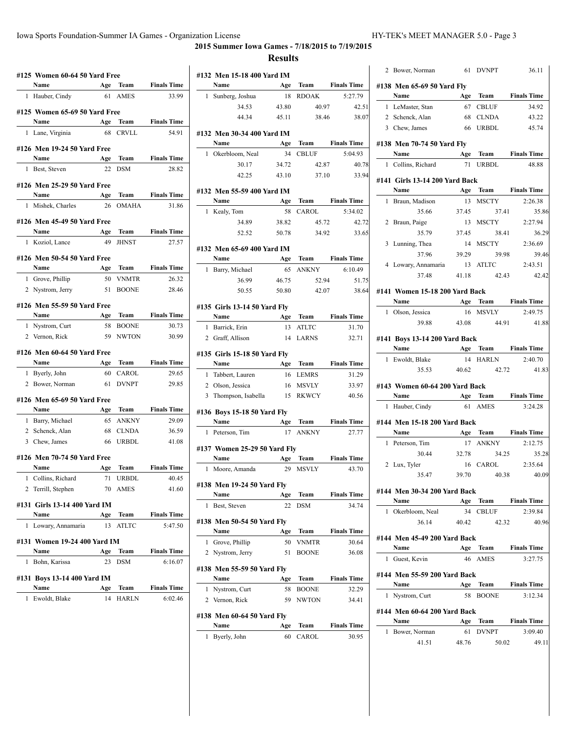**2015 Summer Iowa Games - 7/18/2015 to 7/19/2015 Results**

### **#125 Women 60-64 50 Yard Free Name Age Team Finals Time** 1 Hauber, Cindy 61 AMES 33.99 **#125 Women 65-69 50 Yard Free Name Age Team Finals Time** 1 Lane, Virginia 68 CRVLL 54.91 **#126 Men 19-24 50 Yard Free Name Age Team Finals Time** 1 Best, Steven 22 DSM 28.82 **#126 Men 25-29 50 Yard Free Name Age Team Finals Time** 1 Mishek, Charles 26 OMAHA 31.86 **#126 Men 45-49 50 Yard Free Name Age Team Finals Time** 1 Koziol, Lance 49 JHNST 27.57 **#126 Men 50-54 50 Yard Free Name Age Team Finals Time** 1 Grove, Phillip 50 VNMTR 26.32 2 Nystrom, Jerry 51 BOONE 28.46 **#126 Men 55-59 50 Yard Free Name Age Team Finals Time** 1 Nystrom, Curt 58 BOONE 30.73 2 Vernon, Rick 59 NWTON 30.99 **#126 Men 60-64 50 Yard Free Name Age Team Finals Time** 1 Byerly, John 60 CAROL 29.65 2 Bower, Norman 61 DVNPT 29.85 **#126 Men 65-69 50 Yard Free Name Age Team Finals Time** 1 Barry, Michael 65 ANKNY 29.09 2 Schenck, Alan 68 CLNDA 36.59 3 Chew, James 66 URBDL 41.08 **#126 Men 70-74 50 Yard Free Name Age Team Finals Time** 1 Collins, Richard 71 URBDL 40.45 2 Terrill, Stephen 70 AMES 41.60 **#131 Girls 13-14 400 Yard IM Name Age Team Finals Time** 1 Lowary, Annamaria 13 ATLTC 5:47.50 **#131 Women 19-24 400 Yard IM Name Age Team Finals Time** 1 Bohn, Karissa 23 DSM 6:16.07 **#131 Boys 13-14 400 Yard IM Name Age Team Finals Time** 1 Ewoldt, Blake 14 HARLN 6:02.46

|    | #132 Men 15-18 400 Yard IM<br>Name   |           |                      | <b>Finals Time</b> |
|----|--------------------------------------|-----------|----------------------|--------------------|
| 1  | Sunberg, Joshua                      | Age<br>18 | Team<br><b>RDOAK</b> | 5:27.79            |
|    | 34.53                                | 43.80     | 40.97                | 42.51              |
|    | 44.34                                | 45.11     | 38.46                | 38.07              |
|    |                                      |           |                      |                    |
|    | #132 Men 30-34 400 Yard IM           |           |                      |                    |
|    | Name                                 | Age       | Team                 | <b>Finals Time</b> |
|    | 1 Okerbloom, Neal                    | 34        | CBLUF                | 5:04.93            |
|    | 30.17                                | 34.72     | 42.87                | 40.78              |
|    | 42.25                                | 43.10     | 37.10                | 33.94              |
|    | #132 Men 55-59 400 Yard IM           |           |                      |                    |
|    | Name                                 | Age       | Team                 | <b>Finals Time</b> |
|    | 1 Kealy, Tom                         | 58        | CAROL                | 5:34.02            |
|    | 34.89                                | 38.82     | 45.72                | 42.72              |
|    | 52.52                                | 50.78     | 34.92                | 33.65              |
|    |                                      |           |                      |                    |
|    | #132 Men 65-69 400 Yard IM           |           |                      |                    |
|    | Name                                 | 65        | Age Team<br>ANKNY    | <b>Finals Time</b> |
|    | 1 Barry, Michael                     |           |                      | 6:10.49            |
|    | 36.99                                | 46.75     | 52.94                | 51.75              |
|    | 50.55                                | 50.80     | 42.07                | 38.64              |
|    | #135 Girls 13-14 50 Yard Fly         |           |                      |                    |
|    | Name                                 | Age       | Team                 | <b>Finals Time</b> |
|    | 1 Barrick, Erin                      | 13        | <b>ATLTC</b>         | 31.70              |
|    | 2 Graff, Allison                     | 14        | <b>LARNS</b>         | 32.71              |
|    | #135 Girls 15-18 50 Yard Fly<br>Name |           | Age Team             | <b>Finals Time</b> |
|    | 1 Tabbert, Lauren                    |           | 16 LEMRS             | 31.29              |
|    | 2 Olson, Jessica                     |           | 16 MSVLY             | 33.97              |
|    | 3 Thompson, Isabella                 |           | 15 RKWCY             | 40.56              |
|    |                                      |           |                      |                    |
|    | #136 Boys 15-18 50 Yard Fly          |           |                      |                    |
|    | Name                                 |           | Age Team             | <b>Finals Time</b> |
|    | 1 Peterson, Tim                      |           | 17 ANKNY             | 27.77              |
|    | #137 Women 25-29 50 Yard Fly         |           |                      |                    |
|    | Name                                 | Age       | Team                 | <b>Finals Time</b> |
|    | 1 Moore, Amanda                      | 29        | <b>MSVLY</b>         | 43.70              |
|    |                                      |           |                      |                    |
|    | #138 Men 19-24 50 Yard Fly<br>Name   | Age       | Team                 | <b>Finals Time</b> |
| 1  | Best, Steven                         | 22        | <b>DSM</b>           | 34.74              |
|    |                                      |           |                      |                    |
|    | #138 Men 50-54 50 Yard Fly<br>Name   | Age       | Team                 | <b>Finals Time</b> |
| 1. | Grove, Phillip                       | 50        | <b>VNMTR</b>         | 30.64              |
|    | 2 Nystrom, Jerry                     | 51        | <b>BOONE</b>         | 36.08              |
|    | #138 Men 55-59 50 Yard Fly           |           |                      |                    |
|    | Name                                 | Age       | Team                 | <b>Finals Time</b> |
| 1  | Nystrom, Curt                        | 58        | <b>BOONE</b>         | 32.29              |
|    | 2 Vernon, Rick                       | 59        | <b>NWTON</b>         | 34.41              |
|    | #138 Men 60-64 50 Yard Fly           |           |                      |                    |
|    | Name                                 | Age       | Team                 | <b>Finals Time</b> |
| 1  | Byerly, John                         | 60        | CAROL                | 30.95              |

| 2 Bower, Norman                             | 61    | <b>DVNPT</b> | 36.11                |
|---------------------------------------------|-------|--------------|----------------------|
| #138 Men 65-69 50 Yard Fly                  |       |              |                      |
| Name                                        | Age   | Team         | <b>Finals Time</b>   |
| 1 LeMaster, Stan                            | 67    | <b>CBLUF</b> | 34.92                |
| 2 Schenck, Alan                             |       | 68 CLNDA     | 43.22                |
| 3 Chew, James                               | 66    | <b>URBDL</b> | 45.74                |
|                                             |       |              |                      |
| #138 Men 70-74 50 Yard Fly<br>Name          | Age   | Team         | <b>Finals Time</b>   |
| 1 Collins, Richard                          | 71    | URBDL        | 48.88                |
|                                             |       |              |                      |
| #141 Girls 13-14 200 Yard Back<br>Name      |       | Age Team     | <b>Finals Time</b>   |
| Braun, Madison<br>1                         | 13    | <b>MSCTY</b> | 2:26.38              |
| 35.66                                       | 37.45 | 37.41        | 35.86                |
| 2 Braun, Paige                              |       | 13 MSCTY     | 2:27.94              |
| 35.79                                       | 37.45 | 38.41        | 36.29                |
| 3 Lunning, Thea                             |       | 14 MSCTY     | 2:36.69              |
| 37.96                                       | 39.29 | 39.98        | 39.46                |
| 4 Lowary, Annamaria 13 ATLTC                |       |              | 2:43.51              |
| 37.48                                       | 41.18 | 42.43        | 42.42                |
| #141 Women 15-18 200 Yard Back              |       |              |                      |
| Name                                        |       | Age Team     | <b>Finals Time</b>   |
| 1 Olson, Jessica                            | 16    | <b>MSVLY</b> | 2:49.75              |
| 39.88                                       | 43.08 | 44.91        | 41.88                |
|                                             |       |              |                      |
| #141 Boys 13-14 200 Yard Back               |       |              |                      |
| Name                                        |       |              | Age Team Finals Time |
| 1 Ewoldt, Blake                             |       | 14 HARLN     | 2:40.70              |
| 35.53                                       | 40.62 | 42.72        | 41.83                |
| #143 Women 60-64 200 Yard Back              |       |              |                      |
| Name $\qquad \qquad$                        | Age   | Team         | <b>Finals Time</b>   |
| Hauber, Cindy<br>1                          |       | 61 AMES      | 3:24.28              |
| #144 Men 15-18 200 Yard Back                |       |              |                      |
| Name                                        |       |              | Age Team Finals Time |
| 1 Peterson, Tim                             |       | 17 ANKNY     | 2:12.75              |
| 30.44                                       | 32.78 | 34.25        | 35.28                |
| 2 Lux, Tyler                                |       | 16 CAROL     | 2:35.64              |
| 35.47                                       | 39.70 | 40.38        | 40.09                |
| #144 Men 30-34 200 Yard Back                |       |              |                      |
| Name                                        |       |              | Age Team Finals Time |
| 1 Okerbloom, Neal                           |       | 34 CBLUF     | 2:39.84              |
| 36.14                                       | 40.42 | 42.32        | 40.96                |
|                                             |       |              |                      |
|                                             |       |              |                      |
| #144 Men 45-49 200 Yard Back<br>Name        |       | Team         | <b>Finals Time</b>   |
| Guest, Kevin<br>1                           | Age   | 46 AMES      | 3:27.75              |
|                                             |       |              |                      |
| #144 Men 55-59 200 Yard Back<br><b>Name</b> |       | Age Team     | <b>Finals Time</b>   |
| 1 Nystrom, Curt                             | 58    | <b>BOONE</b> | 3:12.34              |
| #144 Men 60-64 200 Yard Back                |       |              |                      |
| Name                                        |       | Age Team     | <b>Finals Time</b>   |
| 1 Bower, Norman                             |       | 61 DVNPT     | 3:09.40              |
| 41.51                                       | 48.76 | 50.02        | 49.11                |
|                                             |       |              |                      |
|                                             |       |              |                      |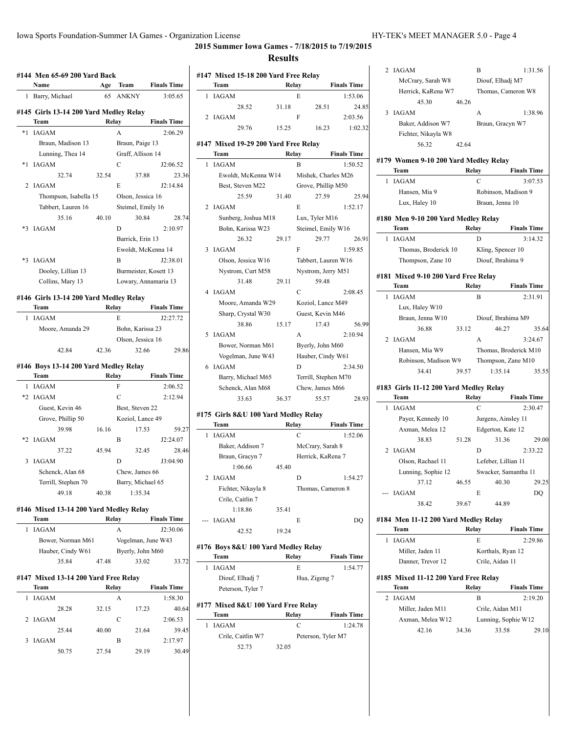2 IAGAM B 1:31.56

# **2015 Summer Iowa Games - 7/18/2015 to 7/19/2015**

|      | #144  Men 65-69 200 Yard Back                  |           |                       |                               |
|------|------------------------------------------------|-----------|-----------------------|-------------------------------|
|      | Name<br>Barry, Michael                         | Age<br>65 | Team<br><b>ANKNY</b>  | <b>Finals Time</b><br>3:05.65 |
| 1    |                                                |           |                       |                               |
|      | #145 Girls 13-14 200 Yard Medley Relay<br>Team |           | Relay                 | <b>Finals Time</b>            |
| $*1$ | <b>IAGAM</b>                                   |           | A                     | 2:06.29                       |
|      | Braun, Madison 13                              |           | Braun, Paige 13       |                               |
|      | Lunning, Thea 14                               |           | Graff, Allison 14     |                               |
| $*1$ | <b>IAGAM</b>                                   |           | C                     | J2:06.52                      |
|      | 32.74                                          | 32.54     | 37.88                 | 23.36                         |
| 2    | <b>IAGAM</b>                                   |           | E                     | J2:14.84                      |
|      | Thompson, Isabella 15                          |           | Olson, Jessica 16     |                               |
|      | Tabbert, Lauren 16                             |           | Steimel, Emily 16     |                               |
|      | 35.16                                          | 40.10     | 30.84                 | 28.74                         |
| *3   | IAGAM                                          |           | D                     | 2:10.97                       |
|      |                                                |           | Barrick, Erin 13      |                               |
|      |                                                |           | Ewoldt, McKenna 14    |                               |
| $*3$ | <b>IAGAM</b>                                   |           | B                     | J2:38.01                      |
|      | Dooley, Lillian 13                             |           | Burmeister, Kosett 13 |                               |
|      | Collins, Mary 13                               |           |                       | Lowary, Annamaria 13          |
|      | #146 Girls 13-14 200 Yard Medley Relay         |           |                       |                               |
|      | Team                                           |           | Relay                 | <b>Finals Time</b>            |
| 1    | <b>IAGAM</b>                                   |           | E                     | J2:27.72                      |
|      | Moore, Amanda 29                               |           | Bohn, Karissa 23      |                               |
|      |                                                |           | Olson, Jessica 16     |                               |
|      | 42.84                                          | 42.36     | 32.66                 | 29.86                         |
|      | #146 Boys 13-14 200 Yard Medley Relay          |           |                       |                               |
|      | Team                                           | Relay     |                       | <b>Finals Time</b>            |
| 1    | <b>IAGAM</b>                                   |           | F                     | 2:06.52                       |
|      | *2 IAGAM                                       |           | C                     | 2:12.94                       |
|      | Guest, Kevin 46                                |           | Best, Steven 22       |                               |
|      | Grove, Phillip 50                              |           | Koziol, Lance 49      |                               |
|      | 39.98                                          | 16.16     | 17.53                 | 59.27                         |
| *2   | <b>IAGAM</b>                                   |           | B                     | J2:24.07                      |
|      | 37.22                                          | 45.94     | 32.45                 | 28.46                         |
| 3    | <b>IAGAM</b>                                   |           | D                     | J3:04.90                      |
|      | Schenck, Alan 68                               |           | Chew, James 66        |                               |
|      | Terrill, Stephen 70                            |           | Barry, Michael 65     |                               |
|      | 49.18                                          | 40.38     | 1:35.34               |                               |
|      | #146 Mixed 13-14 200 Yard Medley Relay         |           |                       |                               |
|      | Team                                           |           | Relay                 | <b>Finals Time</b>            |
| 1    | <b>IAGAM</b>                                   |           | A                     | J2:30.06                      |
|      | Bower, Norman M61                              |           | Vogelman, June W43    |                               |
|      | Hauber, Cindy W61                              |           | Byerly, John M60      |                               |
|      | 35.84                                          | 47.48     | 33.02                 | 33.72                         |
|      | #147 Mixed 13-14 200 Yard Free Relay           |           |                       |                               |
|      | Team                                           |           | Relay                 | <b>Finals Time</b>            |
| 1    | IAGAM                                          |           | А                     | 1:58.30                       |
|      | 28.28                                          | 32.15     | 17.23                 | 40.64                         |
| 2    | IAGAM                                          |           | С                     | 2:06.53                       |
|      | 25.44                                          | 40.00     | 21.64                 | 39.45                         |
|      | 3 IAGAM                                        |           | В                     | 2:17.97                       |

50.75 27.54 29.19 30.49

|   |                                              | <b>Results</b> |                |                      |                    |
|---|----------------------------------------------|----------------|----------------|----------------------|--------------------|
|   | #147 Mixed 15-18 200 Yard Free Relay         |                |                |                      |                    |
|   | Team                                         | Relay          |                |                      | <b>Finals Time</b> |
| 1 | <b>IAGAM</b>                                 |                | E              |                      | 1:53.06            |
|   | 28.52                                        | 31.18          |                | 28.51                | 24.85              |
| 2 | <b>IAGAM</b>                                 |                | F              |                      | 2:03.56            |
|   | 29.76                                        | 15.25          |                | 16.23                | 1:02.32            |
|   | #147 Mixed 19-29 200 Yard Free Relay<br>Team |                | Relay          |                      | <b>Finals Time</b> |
| 1 | <b>IAGAM</b>                                 |                | В              |                      | 1:50.52            |
|   | Ewoldt, McKenna W14                          |                |                | Mishek, Charles M26  |                    |
|   |                                              |                |                |                      |                    |
|   | Best, Steven M22                             |                |                | Grove, Phillip M50   |                    |
|   | 25.59                                        | 31.40          |                | 27.59                | 25.94              |
| 2 | IAGAM                                        |                | E              |                      | 1:52.17            |
|   | Sunberg, Joshua M18                          |                | Lux, Tyler M16 |                      |                    |
|   | Bohn, Karissa W23                            |                |                | Steimel, Emily W16   |                    |
|   | 26.32                                        | 29.17          |                | 29.77                | 26.91              |
| 3 | <b>IAGAM</b>                                 |                | F              |                      | 1:59.85            |
|   | Olson, Jessica W16                           |                |                | Tabbert, Lauren W16  |                    |
|   | Nystrom, Curt M58                            |                |                | Nystrom, Jerry M51   |                    |
|   | 31.48                                        | 29.11          |                | 59.48                |                    |
|   | 4 IAGAM                                      |                | C              |                      | 2:08.45            |
|   | Moore, Amanda W29                            |                |                | Koziol, Lance M49    |                    |
|   | Sharp, Crystal W30                           |                |                | Guest, Kevin M46     |                    |
|   | 38.86                                        | 15.17          |                | 17.43                | 56.99              |
| 5 | IAGAM                                        |                | A              |                      | 2:10.94            |
|   | Bower, Norman M61                            |                |                | Byerly, John M60     |                    |
|   | Vogelman, June W43                           |                |                | Hauber, Cindy W61    |                    |
| 6 | <b>IAGAM</b>                                 |                | D              |                      | 2:34.50            |
|   | Barry, Michael M65                           |                |                | Terrill, Stephen M70 |                    |
|   | Schenck, Alan M68                            |                |                | Chew, James M66      |                    |
|   | 33.63                                        | 36.37          |                | 55.57                | 28.93              |
|   |                                              |                |                |                      |                    |
|   | #175 Girls 8&U 100 Yard Medley Relay<br>Team | Relay          |                |                      | <b>Finals Time</b> |
| 1 | <b>IAGAM</b>                                 |                | С              |                      | 1:52.06            |
|   | Baker, Addison 7                             |                |                | McCrary, Sarah 8     |                    |
|   | Braun, Gracyn 7                              |                |                | Herrick, KaRena 7    |                    |
|   | 1:06.66                                      | 45.40          |                |                      |                    |
| 2 | IAGAM                                        |                | D              |                      | 1:54.27            |
|   |                                              |                |                | Thomas, Cameron 8    |                    |
|   | Fichter, Nikayla 8                           |                |                |                      |                    |
|   | Crile, Caitlin 7                             |                |                |                      |                    |
|   | 1:18.86                                      | 35.41          |                |                      |                    |
|   | <b>IAGAM</b>                                 |                | E              |                      | DQ                 |
|   | 42.52                                        | 19.24          |                |                      |                    |
|   | #176 Boys 8&U 100 Yard Medley Relay          |                |                |                      |                    |
|   | Team                                         | Relay          |                |                      | <b>Finals Time</b> |
| 1 | <b>IAGAM</b>                                 |                | E              |                      | 1:54.77            |
|   | Diouf, Elhadj 7                              |                | Hua, Zigeng 7  |                      |                    |
|   | Peterson, Tyler 7                            |                |                |                      |                    |
|   |                                              |                |                |                      |                    |
|   | #177 Mixed 8&U 100 Yard Free Relay           |                |                |                      |                    |
|   | Team                                         | Relay          |                |                      | <b>Finals Time</b> |
| 1 | <b>IAGAM</b>                                 |                | C              |                      | 1:24.78            |

Crile, Caitlin W7 Peterson, Tyler M7

52.73 32.05

 $\overline{a}$ 

|              | McCrary, Sarah W8                              |       |                   | Diouf, Elhadj M7           |  |
|--------------|------------------------------------------------|-------|-------------------|----------------------------|--|
|              | Herrick, KaRena W7                             |       |                   | Thomas, Cameron W8         |  |
|              | 45.30                                          | 46.26 |                   |                            |  |
|              | 3 IAGAM                                        |       | A                 | 1:38.96                    |  |
|              | Baker, Addison W7                              |       |                   | Braun, Gracyn W7           |  |
|              | Fichter, Nikayla W8                            |       |                   |                            |  |
|              | 56.32                                          | 42.64 |                   |                            |  |
|              |                                                |       |                   |                            |  |
|              | #179 Women 9-10 200 Yard Medley Relay          |       |                   |                            |  |
|              | Team                                           |       | Relay             | <b>Finals Time</b>         |  |
| 1            | <b>IAGAM</b>                                   |       | C                 | 3:07.53                    |  |
|              | Hansen, Mia 9                                  |       |                   | Robinson, Madison 9        |  |
|              | Lux, Haley 10                                  |       | Braun, Jenna 10   |                            |  |
|              | #180 Men 9-10 200 Yard Medley Relay            |       |                   |                            |  |
|              | Team                                           | Relay |                   | <b>Finals Time</b>         |  |
| $\mathbf{1}$ | <b>IAGAM</b>                                   |       | D                 | 3:14.32                    |  |
|              | Thomas, Broderick 10                           |       |                   | Kling, Spencer 10          |  |
|              | Thompson, Zane 10                              |       | Diouf, Ibrahima 9 |                            |  |
|              |                                                |       |                   |                            |  |
|              | #181 Mixed 9-10 200 Yard Free Relay            |       |                   |                            |  |
|              | Team                                           |       | Relay             | <b>Finals Time</b>         |  |
|              | 1 IAGAM                                        |       | B                 | 2:31.91                    |  |
|              | Lux, Haley W10                                 |       |                   |                            |  |
|              | Braun, Jenna W10                               |       |                   | Diouf, Ibrahima M9         |  |
|              | 36.88                                          | 33.12 |                   | 46.27<br>35.64             |  |
|              | 2 IAGAM                                        |       | A                 | 3:24.67                    |  |
|              | Hansen, Mia W9                                 |       |                   | Thomas, Broderick M10      |  |
|              | Robinson, Madison W9                           |       |                   | Thompson, Zane M10         |  |
|              | 34.41                                          | 39.57 |                   | 1:35.14<br>35.55           |  |
|              |                                                |       |                   |                            |  |
|              |                                                |       |                   |                            |  |
|              | #183 Girls 11-12 200 Yard Medley Relay<br>Team |       | Relay             | <b>Finals Time</b>         |  |
|              | 1 IAGAM                                        |       | C                 | 2:30.47                    |  |
|              |                                                |       |                   |                            |  |
|              | Payer, Kennedy 10                              |       |                   | Jurgens, Ainsley 11        |  |
|              | Axman, Melea 12                                |       |                   | Edgerton, Kate 12<br>29.00 |  |
|              | 38.83                                          | 51.28 | D                 | 31.36                      |  |
|              | 2 IAGAM                                        |       |                   | 2:33.22                    |  |
|              | Olson, Rachael 11                              |       |                   | Lefeber, Lillian 11        |  |
|              | Lunning, Sophie 12                             |       |                   | Swacker, Samantha 11       |  |
|              | 37.12                                          | 46.55 |                   | 40.30<br>29.25             |  |
|              | --- IAGAM                                      |       | Е                 | DQ                         |  |
|              | 38.42                                          | 39.67 |                   | 44.89                      |  |
|              | #184 Men 11-12 200 Yard Medley Relay           |       |                   |                            |  |
|              | Team                                           |       | Relay             | <b>Finals Time</b>         |  |
| 1            | <b>IAGAM</b>                                   |       | E                 | 2:29.86                    |  |
|              | Miller, Jaden 11                               |       |                   | Korthals, Ryan 12          |  |
|              | Danner, Trevor 12                              |       | Crile, Aidan 11   |                            |  |
|              |                                                |       |                   |                            |  |
|              | #185 Mixed 11-12 200 Yard Free Relay           |       |                   |                            |  |
|              | Team                                           |       | Relay             | <b>Finals Time</b>         |  |
| 2            | <b>IAGAM</b>                                   |       | В                 | 2:19.20                    |  |
|              | Miller, Jaden M11                              |       | Crile, Aidan M11  |                            |  |
|              | Axman, Melea W12                               |       |                   | Lunning, Sophie W12        |  |
|              | 42.16                                          | 34.36 |                   | 33.58<br>29.10             |  |
|              |                                                |       |                   |                            |  |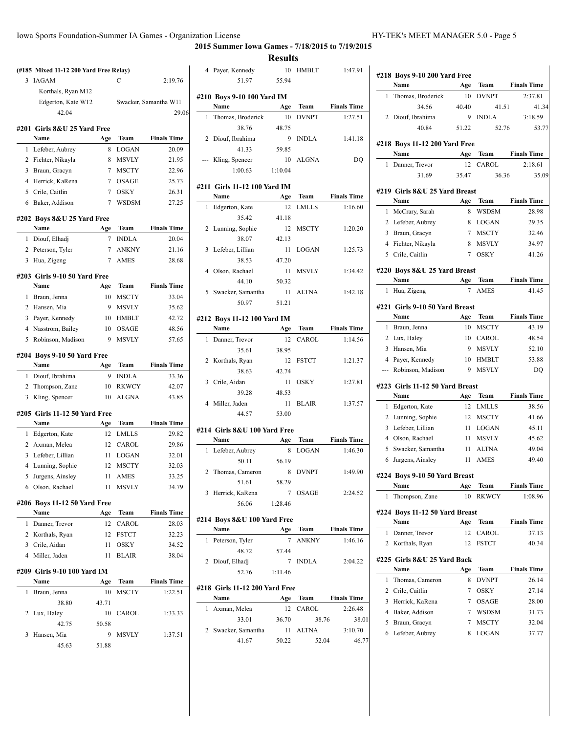$\frac{1}{1}$ 

 $\overline{\phantom{0}}$ 

 $\overline{\phantom{0}}$ L

**2015 Summer Iowa Games - 7/18/2015 to 7/19/2015**

**Results**

| 3 | <b>IAGAM</b>                          |          | С                    | 2:19.76                     |
|---|---------------------------------------|----------|----------------------|-----------------------------|
|   | Korthals, Ryan M12                    |          |                      |                             |
|   | Edgerton, Kate W12                    |          |                      | Swacker, Samantha W11       |
|   | 42.04                                 |          |                      | 29.06                       |
|   | #201   Girls 8&U 25 Yard Free         |          |                      |                             |
|   | Name                                  | Age      | Team                 | <b>Finals Time</b>          |
| 1 | Lefeber, Aubrey                       | 8        | <b>LOGAN</b>         | 20.09                       |
| 2 | Fichter, Nikayla                      | 8        | <b>MSVLY</b>         | 21.95                       |
| 3 | Braun, Gracyn                         | 7        | <b>MSCTY</b>         | 22.96                       |
| 4 | Herrick, KaRena                       | 7        | <b>OSAGE</b>         | 25.73                       |
|   | 5 Crile, Caitlin                      | $\tau$   | <b>OSKY</b>          | 26.31                       |
| 6 | Baker, Addison                        | 7        | WSDSM                | 27.25                       |
|   |                                       |          |                      |                             |
|   | #202 Boys 8&U 25 Yard Free            |          |                      |                             |
| 1 | Name<br>Diouf, Elhadj                 | Age<br>7 | Team<br><b>INDLA</b> | <b>Finals Time</b><br>20.04 |
| 2 | Peterson, Tyler                       | 7        | <b>ANKNY</b>         | 21.16                       |
| 3 | Hua, Zigeng                           | 7        | <b>AMES</b>          | 28.68                       |
|   |                                       |          |                      |                             |
|   | #203 Girls 9-10 50 Yard Free          |          |                      |                             |
|   | Name                                  | Age      | Team                 | <b>Finals Time</b>          |
| 1 | Braun, Jenna                          | 10       | <b>MSCTY</b>         | 33.04                       |
| 2 | Hansen, Mia                           | 9        | <b>MSVLY</b>         | 35.62                       |
| 3 | Payer, Kennedy                        | 10       | <b>HMBLT</b>         | 42.72                       |
| 4 | Nasstrom, Bailey                      | 10       | <b>OSAGE</b>         | 48.56                       |
| 5 | Robinson, Madison                     | 9        | <b>MSVLY</b>         | 57.65                       |
|   | #204 Boys 9-10 50 Yard Free           |          |                      |                             |
|   | Name                                  | Age      | Team                 | <b>Finals Time</b>          |
| 1 | Diouf, Ibrahima                       | 9        | <b>INDLA</b>         | 33.36                       |
| 2 | Thompson, Zane                        | 10       | <b>RKWCY</b>         | 42.07                       |
| 3 | Kling, Spencer                        | 10       |                      |                             |
|   |                                       |          | <b>ALGNA</b>         | 43.85                       |
|   |                                       |          |                      |                             |
|   | #205 Girls 11-12 50 Yard Free<br>Name | Age      | Team                 | <b>Finals Time</b>          |
| 1 | Edgerton, Kate                        | 12       | <b>LMLLS</b>         | 29.82                       |
|   | 2 Axman, Melea                        | 12       | CAROL                | 29.86                       |
| 3 | Lefeber, Lillian                      | 11       | <b>LOGAN</b>         | 32.01                       |
| 4 | Lunning, Sophie                       | 12       | <b>MSCTY</b>         | 32.03                       |
| 5 | Jurgens, Ainsley                      | 11       | AMES                 | 33.25                       |
| 6 | Olson, Rachael                        | 11       | MSVLY                | 34.79                       |
|   |                                       |          |                      |                             |
|   | #206 Boys 11-12 50 Yard Free<br>Name  |          |                      |                             |
| 1 |                                       | Age      | Team<br>CAROL        | <b>Finals Time</b>          |
|   | Danner, Trevor<br>2 Korthals, Ryan    | 12<br>12 | <b>FSTCT</b>         | 28.03<br>32.23              |
|   | 3 Crile, Aidan                        | 11       | OSKY                 | 34.52                       |
|   | 4 Miller, Jaden                       | 11       | <b>BLAIR</b>         | 38.04                       |
|   |                                       |          |                      |                             |
|   | #209 Girls 9-10 100 Yard IM           |          |                      |                             |
|   | Name                                  | Age      | Team                 | <b>Finals Time</b>          |
| 1 | Braun, Jenna                          | 10       | <b>MSCTY</b>         | 1:22.51                     |
|   | 38.80                                 | 43.71    |                      |                             |
| 2 | Lux, Haley                            | 10       | CAROL                | 1:33.33                     |
|   | 42.75                                 | 50.58    |                      |                             |
| 3 | Hansen, Mia                           | 9        | MSVLY                | 1:37.51                     |
|   | 45.63                                 | 51.88    |                      |                             |

|     |                                | results |              |                    |
|-----|--------------------------------|---------|--------------|--------------------|
|     | 4 Payer, Kennedy               | 10      | HMBLT        | 1:47.91            |
|     | 51.97                          | 55.94   |              |                    |
|     |                                |         |              |                    |
|     | #210 Boys 9-10 100 Yard IM     |         |              |                    |
|     | Name                           | Age     | Team         | <b>Finals Time</b> |
| 1   | Thomas, Broderick              | 10      | <b>DVNPT</b> | 1:27.51            |
|     | 38.76                          | 48.75   |              |                    |
|     | 2 Diouf, Ibrahima              | 9       | <b>INDLA</b> | 1:41.18            |
|     | 41.33                          | 59.85   |              |                    |
| --- | Kling, Spencer                 | 10      | ALGNA        | DQ                 |
|     | 1:00.63                        | 1:10.04 |              |                    |
|     |                                |         |              |                    |
|     | #211  Girls 11-12 100 Yard IM  |         |              |                    |
|     | Name                           | Age     | Team         | <b>Finals Time</b> |
| 1   | Edgerton, Kate                 | 12      | <b>LMLLS</b> | 1:16.60            |
|     | 35.42                          | 41.18   |              |                    |
| 2   | Lunning, Sophie                |         | 12 MSCTY     | 1:20.20            |
|     | 38.07                          | 42.13   |              |                    |
| 3   | Lefeber, Lillian               | 11      | LOGAN        | 1:25.73            |
|     |                                |         |              |                    |
|     | 38.53                          | 47.20   |              |                    |
| 4   | Olson, Rachael                 | 11      | MSVLY        | 1:34.42            |
|     | 44.10                          | 50.32   |              |                    |
|     | 5 Swacker, Samantha            | 11      | ALTNA        | 1:42.18            |
|     | 50.97                          | 51.21   |              |                    |
|     | #212 Boys 11-12 100 Yard IM    |         |              |                    |
|     | Name                           | Age     | Team         | <b>Finals Time</b> |
|     |                                |         |              |                    |
|     | 1 Danner, Trevor               | 12      | CAROL        | 1:14.56            |
|     | 35.61                          | 38.95   |              |                    |
|     | 2 Korthals, Ryan               | 12      | <b>FSTCT</b> | 1:21.37            |
|     |                                |         |              |                    |
|     | 38.63                          | 42.74   |              |                    |
|     | 3 Crile, Aidan                 | 11      | <b>OSKY</b>  | 1:27.81            |
|     | 39.28                          | 48.53   |              |                    |
| 4   | Miller, Jaden                  | 11      | <b>BLAIR</b> | 1:37.57            |
|     | 44.57                          | 53.00   |              |                    |
|     |                                |         |              |                    |
|     | #214 Girls 8&U 100 Yard Free   |         |              |                    |
|     | Name                           | Age     | Team         | <b>Finals Time</b> |
| 1   | Lefeber, Aubrey                | 8       | <b>LOGAN</b> | 1:46.30            |
|     | 50.11                          | 56.19   |              |                    |
| 2   | Thomas, Cameron                |         | 8 DVNPT      | 1:49.90            |
|     | 51.61                          | 58.29   |              |                    |
|     | 3 Herrick, KaRena              |         | 7 OSAGE      | 2:24.52            |
|     | 56.06                          | 1:28.46 |              |                    |
|     |                                |         |              |                    |
|     | #214 Boys 8&U 100 Yard Free    |         |              |                    |
|     | Name                           | Age     |              | Team Finals Time   |
| 1   | Peterson, Tyler                | 7       | <b>ANKNY</b> | 1:46.16            |
|     | 48.72                          | 57.44   |              |                    |
|     | 2 Diouf, Elhadj                |         | 7 INDLA      | 2:04.22            |
|     | 52.76                          | 1:11.46 |              |                    |
|     |                                |         |              |                    |
|     | #218 Girls 11-12 200 Yard Free |         |              |                    |
|     | Name                           | Age     |              | Team Finals Time   |
| 1   | Axman, Melea                   | 12      | CAROL        | 2:26.48            |
|     | 33.01                          | 36.70   | 38.76        | 38.01              |
|     | 2 Swacker, Samantha            |         | 11 ALTNA     | 3:10.70            |
|     | 41.67                          | 50.22   | 52.04        | 46.77              |
|     |                                |         |              |                    |
|     |                                |         |              |                    |

|                | #218 Boys 9-10 200 Yard Free           |           |              |                    |
|----------------|----------------------------------------|-----------|--------------|--------------------|
|                | Name                                   | Age       | Team         | <b>Finals Time</b> |
| 1              | Thomas, Broderick                      | 10        | <b>DVNPT</b> | 2:37.81            |
|                | 34.56                                  | 40.40     | 41.51        | 41.34              |
| 2              | Diouf. Ibrahima                        | 9         | <b>INDLA</b> | 3:18.59            |
|                | 40.84                                  | 51.22     | 52.76        | 53.77              |
|                |                                        |           |              |                    |
|                | #218 Boys 11-12 200 Yard Free          |           |              |                    |
|                | Name                                   | Age       | Team         | <b>Finals Time</b> |
| 1              | Danner, Trevor                         | 12        | <b>CAROL</b> | 2:18.61            |
|                | 31.69                                  | 35.47     | 36.36        | 35.09              |
|                | #219 Girls 8&U 25 Yard Breast          |           |              |                    |
|                | Name                                   | Age       | Team         | <b>Finals Time</b> |
| 1              | McCrary, Sarah                         | 8         | <b>WSDSM</b> | 28.98              |
| $\overline{2}$ | Lefeber, Aubrey                        | 8         | <b>LOGAN</b> | 29.35              |
|                | 3 Braun, Gracyn                        | 7         | <b>MSCTY</b> | 32.46              |
| $\overline{4}$ | Fichter, Nikayla                       | 8         | <b>MSVLY</b> | 34.97              |
| 5              | Crile, Caitlin                         | $\tau$    | <b>OSKY</b>  | 41.26              |
|                | #220 Boys 8&U 25 Yard Breast           |           |              |                    |
|                | Name                                   | Age       | Team         | <b>Finals Time</b> |
| 1              | Hua, Zigeng                            | 7         | AMES         | 41.45              |
|                |                                        |           |              |                    |
|                | #221 Girls 9-10 50 Yard Breast         |           |              |                    |
|                | Name                                   | Age       | Team         | <b>Finals Time</b> |
| 1              | Braun, Jenna                           | 10        | <b>MSCTY</b> | 43.19              |
| $\overline{2}$ | Lux, Haley                             | 10        | CAROL        | 48.54              |
| 3              | Hansen, Mia                            | 9         | <b>MSVLY</b> | 52.10              |
| 4              | Payer, Kennedy                         | 10        | <b>HMBLT</b> | 53.88              |
| ---            | Robinson, Madison                      | 9         | <b>MSVLY</b> | DO                 |
|                | #223 Girls 11-12 50 Yard Breast        |           |              |                    |
|                | Name                                   | Age       | Team         | <b>Finals Time</b> |
| 1              | Edgerton, Kate                         | 12        | <b>LMLLS</b> | 38.56              |
| 2              | Lunning, Sophie                        | 12        | <b>MSCTY</b> | 41.66              |
| 3              | Lefeber, Lillian                       | 11        | <b>LOGAN</b> | 45.11              |
| $\overline{4}$ | Olson, Rachael                         | 11        | <b>MSVLY</b> | 45.62              |
| 5              | Swacker, Samantha                      | 11        | <b>ALTNA</b> | 49.04              |
| 6              | Jurgens, Ainsley                       | 11        | <b>AMES</b>  | 49.40              |
|                | #224 Boys 9-10 50 Yard Breast          |           |              |                    |
|                | Name                                   | Age       | Team         | <b>Finals Time</b> |
| 1              | Thompson, Zane                         | 10        | RKWCY        | 1:08.96            |
|                |                                        |           |              |                    |
|                | #224 Boys 11-12 50 Yard Breast<br>Name |           | Team         | <b>Finals Time</b> |
| 1              | Danner, Trevor                         | Age<br>12 | CAROL        | 37.13              |
| 2              | Korthals, Ryan                         | 12        | <b>FSTCT</b> | 40.34              |
|                |                                        |           |              |                    |
|                | #225 Girls 8&U 25 Yard Back            |           |              |                    |
|                | Name                                   | Age       | Team         | <b>Finals Time</b> |
| 1              | Thomas, Cameron                        | 8         | <b>DVNPT</b> | 26.14              |
| 2              | Crile, Caitlin                         | 7         | <b>OSKY</b>  | 27.14              |
| 3              | Herrick, KaRena                        | 7         | OSAGE        | 28.00              |
| 4              | Baker, Addison                         | 7         | WSDSM        | 31.73              |
| 5              | Braun, Gracyn                          | 7         | <b>MSCTY</b> | 32.04              |
| 6              | Lefeber, Aubrey                        | 8         | LOGAN        | 37.77              |
|                |                                        |           |              |                    |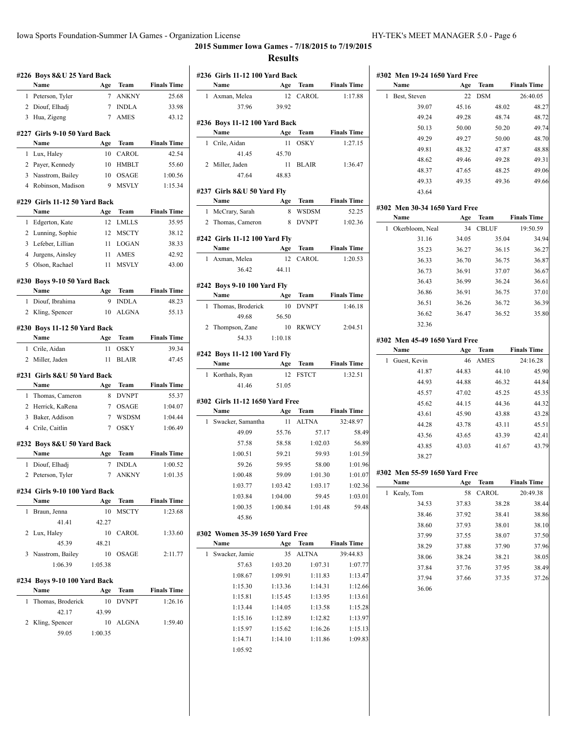$\mathcal{L}$ 

|   | #226 Boys 8&U 25 Yard Back           |         |              |                    |
|---|--------------------------------------|---------|--------------|--------------------|
|   | Name                                 | Age     | Team         | <b>Finals Time</b> |
| 1 | Peterson, Tyler                      | 7       | <b>ANKNY</b> | 25.68              |
| 2 | Diouf, Elhadj                        | 7       | <b>INDLA</b> | 33.98              |
| 3 | Hua, Zigeng                          | 7       | <b>AMES</b>  | 43.12              |
|   | #227 Girls 9-10 50 Yard Back         |         |              |                    |
|   | Name                                 | Age     | Team         | <b>Finals Time</b> |
| 1 | Lux, Haley                           | 10      | CAROL        | 42.54              |
| 2 | Payer, Kennedy                       | 10      | HMBLT        | 55.60              |
| 3 | Nasstrom, Bailey                     | 10      | OSAGE        | 1:00.56            |
|   | 4 Robinson, Madison                  | -9      | MSVLY        | 1:15.34            |
|   | #229 Girls 11-12 50 Yard Back        |         |              |                    |
|   | Name                                 | Age     | Team         | <b>Finals Time</b> |
| 1 | Edgerton, Kate                       | 12      | <b>LMLLS</b> | 35.95              |
|   | 2 Lunning, Sophie                    | 12      | <b>MSCTY</b> | 38.12              |
| 3 | Lefeber, Lillian                     | 11      | <b>LOGAN</b> | 38.33              |
| 4 | Jurgens, Ainsley                     | 11      | <b>AMES</b>  | 42.92              |
| 5 | Olson, Rachael                       | 11      | <b>MSVLY</b> | 43.00              |
|   | #230 Boys 9-10 50 Yard Back          |         |              |                    |
|   | Name                                 | Age     | Team         | <b>Finals Time</b> |
| 1 | Diouf, Ibrahima                      | 9       | <b>INDLA</b> | 48.23              |
| 2 | Kling, Spencer                       | 10      | <b>ALGNA</b> | 55.13              |
|   |                                      |         |              |                    |
|   | #230 Boys 11-12 50 Yard Back<br>Name | Age     | Team         | <b>Finals Time</b> |
| 1 | Crile, Aidan                         | 11      | OSKY         | 39.34              |
|   |                                      |         |              |                    |
|   |                                      | 11      | <b>BLAIR</b> |                    |
|   | 2 Miller, Jaden                      |         |              | 47.45              |
|   | #231  Girls 8&U 50 Yard Back         |         |              |                    |
|   | Name                                 | Age     | Team         | <b>Finals Time</b> |
| 1 | Thomas, Cameron                      | 8       | <b>DVNPT</b> | 55.37              |
| 2 | Herrick, KaRena                      | 7       | OSAGE        | 1:04.07            |
| 3 | Baker, Addison                       | 7       | <b>WSDSM</b> | 1:04.44            |
|   | 4 Crile, Caitlin                     | 7       | <b>OSKY</b>  | 1:06.49            |
|   | #232 Boys 8&U 50 Yard Back           |         |              |                    |
|   | Name                                 | Age     | Team         | <b>Finals Time</b> |
| 1 | Diouf, Elhadj                        | 7       | <b>INDLA</b> | 1:00.52            |
|   | 2 Peterson, Tyler                    | 7       | <b>ANKNY</b> | 1:01.35            |
|   | #234 Girls 9-10 100 Yard Back        |         |              |                    |
|   | Name                                 | Age     | <b>Team</b>  | <b>Finals Time</b> |
| 1 | Braun, Jenna                         | 10      | MSCTY        | 1:23.68            |
|   | 41.41                                | 42.27   |              |                    |
| 2 | Lux, Haley                           | 10      | CAROL        |                    |
|   | 45.39                                | 48.21   |              | 1:33.60            |
| 3 | Nasstrom, Bailey                     | 10      | OSAGE        | 2:11.77            |
|   | 1:06.39                              | 1:05.38 |              |                    |
|   | #234 Boys 9-10 100 Yard Back         |         |              |                    |
|   | Name                                 | Age     | Team         | <b>Finals Time</b> |
| 1 | Thomas, Broderick                    | 10      | <b>DVNPT</b> | 1:26.16            |
|   | 42.17                                | 43.99   |              |                    |
| 2 | Kling, Spencer                       | 10      | ALGNA        | 1:59.40            |

|   | Name                            | Age     | Team                 | <b>Finals Time</b>                                                                        |
|---|---------------------------------|---------|----------------------|-------------------------------------------------------------------------------------------|
| 1 | Axman, Melea                    | 12      | CAROL                | 1:17.88                                                                                   |
|   | 37.96                           | 39.92   |                      |                                                                                           |
|   | #236 Boys 11-12 100 Yard Back   |         |                      |                                                                                           |
|   | Name                            | Age     | Team                 | <b>Finals Time</b>                                                                        |
|   | 1 Crile, Aidan                  | 11      | <b>OSKY</b>          | 1:27.15                                                                                   |
|   | 41.45                           | 45.70   |                      |                                                                                           |
|   | 2 Miller, Jaden                 |         | 11 BLAIR             | 1:36.47                                                                                   |
|   | 47.64                           | 48.83   |                      |                                                                                           |
|   | #237 Girls 8&U 50 Yard Flv      |         |                      |                                                                                           |
|   | Name                            | Age     | Team                 | <b>Finals Time</b>                                                                        |
| 1 | McCrary, Sarah                  | 8       | <b>WSDSM</b>         | 52.25                                                                                     |
|   | 2 Thomas, Cameron               | 8       | <b>DVNPT</b>         | 1:02.36                                                                                   |
|   | #242 Girls 11-12 100 Yard Fly   |         |                      |                                                                                           |
|   | Name                            |         | Age Team Finals Time |                                                                                           |
|   | 1 Axman, Melea                  | 12      | CAROL                | 1:20.53                                                                                   |
|   | 36.42                           | 44.11   |                      |                                                                                           |
|   | #242 Boys 9-10 100 Yard Fly     |         |                      |                                                                                           |
|   | Name                            | Age     | Team                 | <b>Finals Time</b>                                                                        |
| 1 | Thomas, Broderick               | 10      | <b>DVNPT</b>         | 1:46.18                                                                                   |
|   | 49.68                           | 56.50   |                      |                                                                                           |
|   | 2 Thompson, Zane                |         | 10 RKWCY             | 2:04.51                                                                                   |
|   | 54.33                           | 1:10.18 |                      |                                                                                           |
|   | #242 Boys 11-12 100 Yard Fly    |         |                      |                                                                                           |
|   | Name                            | Age     | Team                 | <b>Finals Time</b>                                                                        |
| 1 | Korthals, Ryan                  | 12      | <b>FSTCT</b>         | 1:32.51                                                                                   |
|   | 41.46                           | 51.05   |                      |                                                                                           |
|   | #302 Girls 11-12 1650 Yard Free |         |                      |                                                                                           |
|   | Name                            |         | Age Team             | <b>Finals Time</b>                                                                        |
|   |                                 |         |                      |                                                                                           |
| 1 | Swacker, Samantha               | 11 -    | <b>ALTNA</b>         | 32:48.97                                                                                  |
|   | 49.09                           | 55.76   | 57.17                |                                                                                           |
|   | 57.58                           | 58.58   | 1:02.03              |                                                                                           |
|   | 1:00.51                         | 59.21   | 59.93                |                                                                                           |
|   | 59.26                           | 59.95   | 58.00                |                                                                                           |
|   | 1:00.48                         | 59.09   | 1:01.30              |                                                                                           |
|   | 1:03.77                         | 1:03.42 | 1:03.17              |                                                                                           |
|   | 1:03.84                         | 1:04.00 | 59.45                |                                                                                           |
|   | 1:00.35                         | 1:00.84 | 1:01.48              |                                                                                           |
|   | 45.86                           |         |                      |                                                                                           |
|   | #302 Women 35-39 1650 Yard Free |         |                      |                                                                                           |
|   | Name                            | Age     | Team                 | <b>Finals Time</b>                                                                        |
| 1 | Swacker, Jamie                  | 35      | ALTNA                | 39:44.83                                                                                  |
|   | 57.63                           | 1:03.20 | 1:07.31              | 58.49<br>56.89<br>1:01.59<br>1:01.96<br>1:01.07<br>1:02.36<br>1:03.01<br>59.48<br>1:07.77 |
|   | 1:08.67                         | 1:09.91 | 1:11.83              | 1:13.47                                                                                   |
|   | 1:15.30                         | 1:13.36 | 1:14.31              | 1:12.66                                                                                   |
|   | 1:15.81                         | 1:15.45 | 1:13.95              | 1:13.61                                                                                   |
|   | 1:13.44                         | 1:14.05 | 1:13.58              | 1:15.28                                                                                   |
|   | 1:15.16                         | 1:12.89 | 1:12.82              | 1:13.97                                                                                   |
|   | 1:15.97                         | 1:15.62 | 1:16.26              | 1:15.13                                                                                   |
|   | 1:14.71                         | 1:14.10 | 1:11.86              | 1:09.83                                                                                   |
|   | 1:05.92                         |         |                      |                                                                                           |

| Name                                  | Age            | Team          | <b>Finals Time</b>               |
|---------------------------------------|----------------|---------------|----------------------------------|
| Best, Steven<br>1                     | 22             | <b>DSM</b>    | 26:40.05                         |
| 39.07                                 | 45.16          | 48.02         | 48.27                            |
| 49.24                                 | 49.28          | 48.74         | 48.72                            |
| 50.13                                 | 50.00          | 50.20         | 49.74                            |
| 49.29                                 | 49.27          | 50.00         | 48.70                            |
| 49.81                                 | 48.32          | 47.87         | 48.88                            |
| 48.62                                 | 49.46          | 49.28         | 49.31                            |
| 48.37                                 | 47.65          | 48.25         | 49.06                            |
| 49.33                                 | 49.35          | 49.36         | 49.66                            |
| 43.64                                 |                |               |                                  |
| #302 Men 30-34 1650 Yard Free         |                |               |                                  |
| Name                                  | Age            | Team          | <b>Finals Time</b>               |
| Okerbloom, Neal<br>1                  | 34             | <b>CBLUF</b>  | 19:50.59                         |
| 31.16                                 | 34.05          | 35.04         | 34.94                            |
| 35.23                                 | 36.27          | 36.15         | 36.27                            |
| 36.33                                 | 36.70          | 36.75         | 36.87                            |
| 36.73                                 | 36.91          | 37.07         | 36.67                            |
| 36.43                                 | 36.99          | 36.24         | 36.61                            |
| 36.86                                 | 36.91          | 36.75         | 37.01                            |
| 36.51                                 | 36.26          | 36.72         | 36.39                            |
| 36.62                                 | 36.47          | 36.52         | 35.80                            |
| 32.36                                 |                |               |                                  |
| #302 Men 45-49 1650 Yard Free         |                |               |                                  |
| Name                                  | Age            | Team          | <b>Finals Time</b>               |
| Guest, Kevin<br>1                     | 46             | <b>AMES</b>   | 24:16.28                         |
| 41.87                                 | 44.83          | 44.10         | 45.90                            |
| 44.93                                 | 44.88          | 46.32         | 44.84                            |
| 45.57                                 | 47.02          | 45.25         | 45.35                            |
| 45.62                                 | 44.15          | 44.36         | 44.32                            |
| 43.61                                 | 45.90          | 43.88         | 43.28                            |
| 44.28                                 | 43.78          | 43.11         | 45.51                            |
| 43.56                                 | 43.65          | 43.39         | 42.41                            |
| 43.85                                 | 43.03          | 41.67         | 43.79                            |
| 38.27                                 |                |               |                                  |
|                                       |                |               |                                  |
|                                       |                |               |                                  |
| #302 Men 55-59 1650 Yard Free<br>Name |                |               | <b>Finals Time</b>               |
| Kealy, Tom<br>1                       | Age<br>58      | Team<br>CAROL | 20:49.38                         |
| 34.53                                 | 37.83          | 38.28         |                                  |
|                                       | 37.92          | 38.41         |                                  |
| 38.46<br>38.60                        |                | 38.01         |                                  |
| 37.99                                 | 37.93<br>37.55 | 38.07         |                                  |
|                                       |                | 37.90         | 38.44<br>38.86<br>38.10<br>37.50 |
| 38.29<br>38.06                        | 37.88<br>38.24 | 38.21         | 37.96<br>38.05                   |
| 37.84                                 | 37.76          | 37.95         | 38.49                            |
| 37.94                                 | 37.66          | 37.35         | 37.26                            |
| 36.06                                 |                |               |                                  |
|                                       |                |               |                                  |
|                                       |                |               |                                  |
|                                       |                |               |                                  |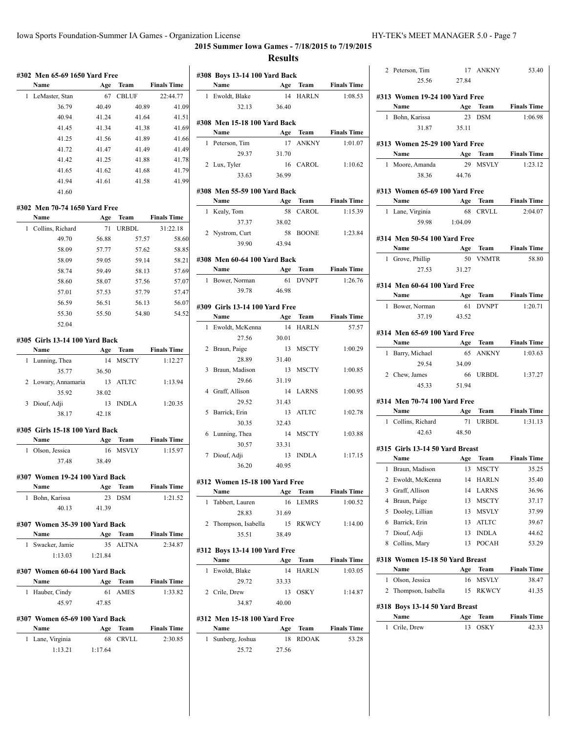|   | #302 Men 65-69 1650 Yard Free<br>Name  | Age         | Team         | <b>Finals Time</b> |
|---|----------------------------------------|-------------|--------------|--------------------|
| 1 | LeMaster, Stan                         | 67          | <b>CBLUF</b> | 22:44.77           |
|   | 36.79                                  | 40.49       | 40.89        | 41.09              |
|   | 40.94                                  | 41.24       | 41.64        | 41.51              |
|   | 41.45                                  | 41.34       | 41.38        | 41.69              |
|   | 41.25                                  | 41.56       | 41.89        | 41.66              |
|   | 41.72                                  | 41.47       | 41.49        | 41.49              |
|   | 41.42                                  | 41.25       | 41.88        | 41.78              |
|   | 41.65                                  | 41.62       | 41.68        | 41.79              |
|   | 41.94                                  | 41.61       | 41.58        | 41.99              |
|   | 41.60                                  |             |              |                    |
|   | #302 Men 70-74 1650 Yard Free          |             |              |                    |
|   | Name                                   | Age         | Team         | <b>Finals Time</b> |
| 1 | Collins, Richard                       | 71          | <b>URBDL</b> | 31:22.18           |
|   | 49.70                                  | 56.88       | 57.57        | 58.60              |
|   | 58.09                                  | 57.77       | 57.62        | 58.85              |
|   | 58.09                                  | 59.05       | 59.14        | 58.21              |
|   | 58.74                                  | 59.49       | 58.13        | 57.69              |
|   | 58.60                                  | 58.07       | 57.56        | 57.07              |
|   | 57.01                                  | 57.53       | 57.79        | 57.47              |
|   | 56.59                                  | 56.51       | 56.13        | 56.07              |
|   | 55.30                                  | 55.50       | 54.80        | 54.52              |
|   | 52.04                                  |             |              |                    |
|   | #305 Girls 13-14 100 Yard Back<br>Name |             | Team         | <b>Finals Time</b> |
| 1 |                                        | Age<br>14   | <b>MSCTY</b> | 1:12.27            |
|   | Lunning, Thea                          |             |              |                    |
|   | 35.77                                  | 36.50       |              |                    |
| 2 | Lowary, Annamaria                      | 13          | <b>ATLTC</b> | 1:13.94            |
|   | 35.92                                  | 38.02       |              |                    |
| 3 | Diouf, Adji<br>38.17                   | 13<br>42.18 | <b>INDLA</b> | 1:20.35            |
|   | #305 Girls 15-18 100 Yard Back         |             |              |                    |
|   | Name                                   | Age         | Team         | <b>Finals Time</b> |
| 1 | Olson, Jessica<br>37.48                | 38.49       | 16 MSVLY     | 1:15.97            |
|   | #307 Women 19-24 100 Yard Back         |             |              |                    |
|   | Name                                   | Age         | Team         | <b>Finals Time</b> |
| 1 | Bohn, Karissa                          | 23          | DSM          | 1:21.52            |
|   | 40.13                                  | 41.39       |              |                    |
|   | #307 Women 35-39 100 Yard Back         |             |              |                    |
|   | Name                                   | Age         | Team         | <b>Finals Time</b> |
| 1 | Swacker, Jamie                         | 35          | <b>ALTNA</b> | 2:34.87            |
|   | 1:13.03                                | 1:21.84     |              |                    |
|   | #307 Women 60-64 100 Yard Back         |             |              |                    |
|   | Name                                   | Age         | Team         | <b>Finals Time</b> |
| 1 | Hauber, Cindy<br>45.97                 | 61<br>47.85 | AMES         | 1:33.82            |
|   | #307 Women 65-69 100 Yard Back         |             |              |                    |
|   |                                        |             | Team         |                    |
|   | Name                                   | Age         |              | <b>Finals Time</b> |
| 1 | Lane, Virginia                         | 68          | <b>CRVLL</b> | 2:30.85            |

|                | #308 Boys 13-14 100 Yard Back    |       |              |                         |
|----------------|----------------------------------|-------|--------------|-------------------------|
|                | Name                             | Age   |              | <b>Team</b> Finals Time |
| 1              | Ewoldt, Blake                    | 14    | <b>HARLN</b> | 1:08.53                 |
|                | 32.13                            | 36.40 |              |                         |
|                |                                  |       |              |                         |
|                | #308 Men 15-18 100 Yard Back     |       |              |                         |
|                | Name                             | Age   | Team         | <b>Finals Time</b>      |
| 1              | Peterson, Tim                    | 17    | <b>ANKNY</b> | 1:01.07                 |
|                | 29.37                            | 31.70 |              |                         |
|                | 2 Lux, Tyler                     |       | 16 CAROL     | 1:10.62                 |
|                | 33.63                            | 36.99 |              |                         |
|                |                                  |       |              |                         |
|                | #308 Men 55-59 100 Yard Back     |       |              |                         |
|                | Name                             | Age   | Team         | <b>Finals Time</b>      |
|                | 1 Kealy, Tom                     |       | 58 CAROL     | 1:15.39                 |
|                | 37.37                            | 38.02 |              |                         |
|                | 2 Nystrom, Curt                  |       | 58 BOONE     | 1:23.84                 |
|                | 39.90                            | 43.94 |              |                         |
|                |                                  |       |              |                         |
|                | #308 Men 60-64 100 Yard Back     |       |              | <b>Finals Time</b>      |
|                | Name<br>$\frac{1}{\sqrt{2}}$ Age |       | Team         |                         |
|                | 1 Bower, Norman                  | 61    | <b>DVNPT</b> | 1:26.76                 |
|                | 39.78                            | 46.98 |              |                         |
|                | #309 Girls 13-14 100 Yard Free   |       |              |                         |
|                | Name                             | Age   | Team         | <b>Finals Time</b>      |
| 1              | Ewoldt, McKenna                  | 14    | <b>HARLN</b> | 57.57                   |
|                | 27.56                            | 30.01 |              |                         |
|                | 2 Braun, Paige                   | 13    | <b>MSCTY</b> | 1:00.29                 |
|                | 28.89                            | 31.40 |              |                         |
|                |                                  | 13    |              |                         |
|                | 3 Braun, Madison                 |       | MSCTY        | 1:00.85                 |
|                | 29.66                            | 31.19 |              |                         |
|                | 4 Graff, Allison                 | 14    | LARNS        | 1:00.95                 |
|                | 29.52                            | 31.43 |              |                         |
|                | 5 Barrick, Erin                  | 13    | <b>ATLTC</b> | 1:02.78                 |
|                | 30.35                            | 32.43 |              |                         |
|                | 6 Lunning, Thea                  | 14    | MSCTY        | 1:03.88                 |
|                | 30.57                            | 33.31 |              |                         |
| 7              | Diouf, Adji                      | 13    | <b>INDLA</b> | 1:17.15                 |
|                | 36.20                            | 40.95 |              |                         |
|                |                                  |       |              |                         |
|                | #312 Women 15-18 100 Yard Free   |       |              |                         |
|                | Name                             |       | Age Team     | <b>Finals Time</b>      |
| 1              | Tabbert, Lauren                  | 16    | <b>LEMRS</b> | 1:00.52                 |
|                | 28.83                            | 31.69 |              |                         |
| $\overline{2}$ | Thompson, Isabella               | 15    | RKWCY        | 1:14.00                 |
|                | 35.51                            | 38.49 |              |                         |
|                | #312 Boys 13-14 100 Yard Free    |       |              |                         |
|                | Name                             | Age   | Team         | <b>Finals Time</b>      |
| 1              | Ewoldt, Blake                    | 14    | <b>HARLN</b> | 1:03.05                 |
|                | 29.72                            | 33.33 |              |                         |
|                |                                  |       |              |                         |
|                | 2 Crile, Drew                    | 13    | OSKY         | 1:14.87                 |
|                | 34.87                            | 40.00 |              |                         |
|                | #312 Men 15-18 100 Yard Free     |       |              |                         |
|                | Name                             | Age   | Team         | <b>Finals Time</b>      |
| 1              | Sunberg, Joshua                  | 18    | <b>RDOAK</b> | 53.28                   |
|                | 25.72                            | 27.56 |              |                         |
|                |                                  |       |              |                         |
|                |                                  |       |              |                         |

|                                                                                                              |                 | 17 ANKNY        | 53.40                |
|--------------------------------------------------------------------------------------------------------------|-----------------|-----------------|----------------------|
| 25.56                                                                                                        | 27.84           |                 |                      |
|                                                                                                              |                 |                 |                      |
| #313 Women 19-24 100 Yard Free                                                                               |                 |                 |                      |
| Name $\qquad \qquad$                                                                                         |                 | Age Team        | <b>Finals Time</b>   |
| 1 Bohn, Karissa                                                                                              | 23              | <b>DSM</b>      | 1:06.98              |
| 31.87                                                                                                        | 35.11           |                 |                      |
| #313 Women 25-29 100 Yard Free                                                                               |                 |                 |                      |
| <b>Name</b>                                                                                                  |                 |                 | Age Team Finals Time |
| 1 Moore, Amanda                                                                                              |                 | 29 MSVLY        | 1:23.12              |
|                                                                                                              |                 |                 |                      |
| 38.36                                                                                                        | 44.76           |                 |                      |
| #313 Women 65-69 100 Yard Free                                                                               |                 |                 |                      |
| Name Age Team Finals Time                                                                                    |                 |                 |                      |
| 1 Lane, Virginia                                                                                             | 68              | <b>CRVLL</b>    | 2:04.07              |
| 59.98                                                                                                        | 1:04.09         |                 |                      |
|                                                                                                              |                 |                 |                      |
| #314 Men 50-54 100 Yard Free                                                                                 |                 |                 |                      |
| Name Age Team Finals Time                                                                                    |                 |                 |                      |
| 1 Grove, Phillip                                                                                             |                 | 50 VNMTR        | 58.80                |
| 27.53                                                                                                        | 31.27           |                 |                      |
|                                                                                                              |                 |                 |                      |
| #314 Men 60-64 100 Yard Free                                                                                 |                 |                 |                      |
| Name                                                                                                         |                 |                 | Age Team Finals Time |
| 1 Bower, Norman                                                                                              | 61              | <b>DVNPT</b>    | 1:20.71              |
| 37.19                                                                                                        | 43.52           |                 |                      |
|                                                                                                              |                 |                 |                      |
| #314 Men 65-69 100 Yard Free                                                                                 |                 |                 |                      |
| Name                                                                                                         |                 |                 | Age Team Finals Time |
| 1 Barry, Michael                                                                                             |                 | 65 ANKNY        | 1:03.63              |
| 29.54                                                                                                        | 34.09           |                 |                      |
| 2 Chew, James                                                                                                |                 | 66 URBDL        | 1:37.27              |
| 45.33                                                                                                        | 51.94           |                 |                      |
|                                                                                                              |                 |                 |                      |
| #314 Men 70-74 100 Yard Free                                                                                 |                 |                 |                      |
| Name $\qquad \qquad$                                                                                         |                 | <b>Age Team</b> | <b>Finals Time</b>   |
| 1 Collins, Richard                                                                                           |                 | 71 URBDL        | 1:31.13              |
|                                                                                                              |                 |                 |                      |
| 42.63                                                                                                        | 48.50           |                 |                      |
|                                                                                                              |                 |                 |                      |
|                                                                                                              |                 |                 |                      |
|                                                                                                              | <b>Age Team</b> |                 | <b>Finals Time</b>   |
| 1 Braun, Madison                                                                                             |                 | 13 MSCTY        | 35.25                |
| 2 Ewoldt, McKenna                                                                                            |                 | 14 HARLN        | 35.40                |
| 3<br>Graff, Allison                                                                                          | 14              | LARNS           | 36.96                |
| 4<br>Braun, Paige                                                                                            | 13              | <b>MSCTY</b>    | 37.17                |
| Dooley, Lillian<br>5                                                                                         | 13              | <b>MSVLY</b>    | 37.99                |
| Barrick, Erin<br>6                                                                                           | 13              | <b>ATLTC</b>    | 39.67                |
| Diouf, Adji<br>7                                                                                             | 13              | <b>INDLA</b>    | 44.62                |
| Collins, Mary<br>8                                                                                           | 13              | POCAH           | 53.29                |
|                                                                                                              |                 |                 |                      |
|                                                                                                              |                 |                 |                      |
| Name                                                                                                         | Age             | Team            | <b>Finals Time</b>   |
| 1<br>Olson, Jessica                                                                                          | 16              | MSVLY           | 38.47                |
| 2<br>Thompson, Isabella                                                                                      | 15              | RKWCY           | 41.35                |
|                                                                                                              |                 |                 |                      |
|                                                                                                              |                 |                 |                      |
| Name                                                                                                         | Age             | Team            | <b>Finals Time</b>   |
| Crile, Drew<br>1                                                                                             | 13              | OSKY            | 42.33                |
|                                                                                                              |                 |                 |                      |
|                                                                                                              |                 |                 |                      |
|                                                                                                              |                 |                 |                      |
|                                                                                                              |                 |                 |                      |
| #315 Girls 13-14 50 Yard Breast<br>Name<br>#318 Women 15-18 50 Yard Breast<br>#318 Boys 13-14 50 Yard Breast |                 |                 |                      |
|                                                                                                              |                 |                 |                      |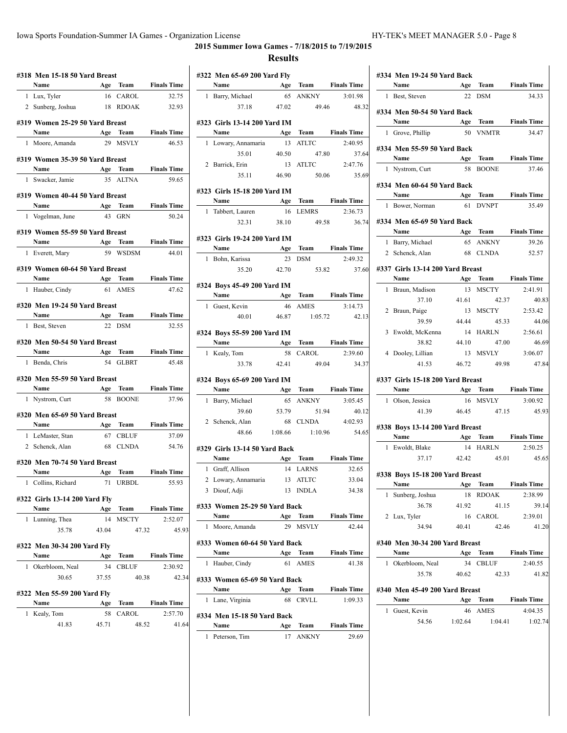|   | #318 Men 15-18 50 Yard Breast                                                                                                                                                                                                                                                                                                                                                                                                                                  |       |              |                      |
|---|----------------------------------------------------------------------------------------------------------------------------------------------------------------------------------------------------------------------------------------------------------------------------------------------------------------------------------------------------------------------------------------------------------------------------------------------------------------|-------|--------------|----------------------|
|   | Name Age Team Finals Time                                                                                                                                                                                                                                                                                                                                                                                                                                      |       |              |                      |
|   | 1 Lux, Tyler                                                                                                                                                                                                                                                                                                                                                                                                                                                   |       | 16 CAROL     | 32.75                |
|   | 2 Sunberg, Joshua                                                                                                                                                                                                                                                                                                                                                                                                                                              |       | 18 RDOAK     | 32.93                |
|   | #319 Women 25-29 50 Yard Breast                                                                                                                                                                                                                                                                                                                                                                                                                                |       |              |                      |
|   | <b>Name</b>                                                                                                                                                                                                                                                                                                                                                                                                                                                    |       |              | Age Team Finals Time |
|   | 1 Moore, Amanda                                                                                                                                                                                                                                                                                                                                                                                                                                                |       | 29 MSVLY     | 46.53                |
|   |                                                                                                                                                                                                                                                                                                                                                                                                                                                                |       |              |                      |
|   | #319 Women 35-39 50 Yard Breast                                                                                                                                                                                                                                                                                                                                                                                                                                |       |              |                      |
|   | Name Age Team                                                                                                                                                                                                                                                                                                                                                                                                                                                  |       |              | <b>Finals Time</b>   |
|   | 1 Swacker, Jamie                                                                                                                                                                                                                                                                                                                                                                                                                                               |       | 35 ALTNA     | 59.65                |
|   | #319 Women 40-44 50 Yard Breast                                                                                                                                                                                                                                                                                                                                                                                                                                |       |              |                      |
|   | <b>Name</b>                                                                                                                                                                                                                                                                                                                                                                                                                                                    |       | Age Team     | <b>Finals Time</b>   |
| 1 | Vogelman, June                                                                                                                                                                                                                                                                                                                                                                                                                                                 | 43    | GRN          | 50.24                |
|   |                                                                                                                                                                                                                                                                                                                                                                                                                                                                |       |              |                      |
|   | #319 Women 55-59 50 Yard Breast                                                                                                                                                                                                                                                                                                                                                                                                                                |       |              |                      |
|   | Name<br>$\label{eq:2.1} \frac{1}{\sqrt{2}}\left(\frac{1}{\sqrt{2}}\right)^{2} \left(\frac{1}{\sqrt{2}}\right)^{2} \left(\frac{1}{\sqrt{2}}\right)^{2} \left(\frac{1}{\sqrt{2}}\right)^{2} \left(\frac{1}{\sqrt{2}}\right)^{2} \left(\frac{1}{\sqrt{2}}\right)^{2} \left(\frac{1}{\sqrt{2}}\right)^{2} \left(\frac{1}{\sqrt{2}}\right)^{2} \left(\frac{1}{\sqrt{2}}\right)^{2} \left(\frac{1}{\sqrt{2}}\right)^{2} \left(\frac{1}{\sqrt{2}}\right)^{2} \left(\$ | Age   |              | Team Finals Time     |
|   | 1 Everett, Mary                                                                                                                                                                                                                                                                                                                                                                                                                                                |       | 59 WSDSM     | 44.01                |
|   | #319 Women 60-64 50 Yard Breast                                                                                                                                                                                                                                                                                                                                                                                                                                |       |              |                      |
|   | Name<br>Age Team                                                                                                                                                                                                                                                                                                                                                                                                                                               |       |              | <b>Finals Time</b>   |
|   | 1 Hauber, Cindy                                                                                                                                                                                                                                                                                                                                                                                                                                                | 61    | <b>AMES</b>  | 47.62                |
|   |                                                                                                                                                                                                                                                                                                                                                                                                                                                                |       |              |                      |
|   | #320 Men 19-24 50 Yard Breast<br><b>Name</b>                                                                                                                                                                                                                                                                                                                                                                                                                   |       | Age Team     | <b>Finals Time</b>   |
|   | 1 Best, Steven                                                                                                                                                                                                                                                                                                                                                                                                                                                 |       | 22 DSM       | 32.55                |
|   |                                                                                                                                                                                                                                                                                                                                                                                                                                                                |       |              |                      |
|   | #320 Men 50-54 50 Yard Breast                                                                                                                                                                                                                                                                                                                                                                                                                                  |       |              |                      |
|   | Name                                                                                                                                                                                                                                                                                                                                                                                                                                                           |       |              | Age Team Finals Time |
|   | 1 Benda, Chris                                                                                                                                                                                                                                                                                                                                                                                                                                                 |       | 54 GLBRT     | 45.48                |
|   | #320 Men 55-59 50 Yard Breast                                                                                                                                                                                                                                                                                                                                                                                                                                  |       |              |                      |
|   | Name Age Team Finals Time                                                                                                                                                                                                                                                                                                                                                                                                                                      |       |              |                      |
|   | 1 Nystrom, Curt                                                                                                                                                                                                                                                                                                                                                                                                                                                |       | 58 BOONE     | 37.96                |
|   |                                                                                                                                                                                                                                                                                                                                                                                                                                                                |       |              |                      |
|   | #320 Men 65-69 50 Yard Breast                                                                                                                                                                                                                                                                                                                                                                                                                                  |       |              |                      |
|   | Name<br>Age Team                                                                                                                                                                                                                                                                                                                                                                                                                                               |       |              | <b>Finals Time</b>   |
|   | 1 LeMaster, Stan                                                                                                                                                                                                                                                                                                                                                                                                                                               |       | 67 CBLUF     | 37.09                |
|   | 2 Schenck, Alan                                                                                                                                                                                                                                                                                                                                                                                                                                                |       | 68 CLNDA     | 54.76                |
|   | #320 Men 70-74 50 Yard Breast                                                                                                                                                                                                                                                                                                                                                                                                                                  |       |              |                      |
|   | Name                                                                                                                                                                                                                                                                                                                                                                                                                                                           |       | Age Team     | <b>Finals Time</b>   |
|   | 1 Collins, Richard                                                                                                                                                                                                                                                                                                                                                                                                                                             |       | 71 URBDL     | 55.93                |
|   |                                                                                                                                                                                                                                                                                                                                                                                                                                                                |       |              |                      |
|   | #322 Girls 13-14 200 Yard Fly                                                                                                                                                                                                                                                                                                                                                                                                                                  |       |              |                      |
|   | Name                                                                                                                                                                                                                                                                                                                                                                                                                                                           | Age   | Team         | <b>Finals Time</b>   |
| 1 | Lunning, Thea                                                                                                                                                                                                                                                                                                                                                                                                                                                  | 14    | MSCTY        | 2:52.07              |
|   | 35.78                                                                                                                                                                                                                                                                                                                                                                                                                                                          | 43.04 | 47.32        | 45.93                |
|   | #322 Men 30-34 200 Yard Fly                                                                                                                                                                                                                                                                                                                                                                                                                                    |       |              |                      |
|   | Name                                                                                                                                                                                                                                                                                                                                                                                                                                                           | Age   | Team         | <b>Finals Time</b>   |
| 1 | Okerbloom, Neal                                                                                                                                                                                                                                                                                                                                                                                                                                                | 34    | <b>CBLUF</b> | 2:30.92              |
|   | 30.65                                                                                                                                                                                                                                                                                                                                                                                                                                                          | 37.55 | 40.38        | 42.34                |
|   |                                                                                                                                                                                                                                                                                                                                                                                                                                                                |       |              |                      |
|   | #322 Men 55-59 200 Yard Fly                                                                                                                                                                                                                                                                                                                                                                                                                                    |       |              |                      |
|   | Name                                                                                                                                                                                                                                                                                                                                                                                                                                                           | Age   | Team         | <b>Finals Time</b>   |
| 1 | Kealy, Tom                                                                                                                                                                                                                                                                                                                                                                                                                                                     | 58    | CAROL        | 2:57.70              |
|   | 41.83                                                                                                                                                                                                                                                                                                                                                                                                                                                          | 45.71 | 48.52        | 41.64                |
|   |                                                                                                                                                                                                                                                                                                                                                                                                                                                                |       |              |                      |

| Age Team Finals Time<br>1 Barry, Michael<br>65 ANKNY<br>3:01.98<br>37.18<br>47.02<br>49.46<br>#323 Girls 13-14 200 Yard IM<br>Age Team Finals Time<br>Name<br>13 ATLTC<br>1 Lowary, Annamaria<br>40.50<br>35.01<br>47.80<br>2:47.76<br>2 Barrick, Erin<br>13 ATLTC<br>35.11 46.90<br>50.06 35.69<br>#323 Girls 15-18 200 Yard IM<br>Name Age Team Finals Time<br>LEMRS<br>Tabbert, Lauren<br>16<br>1<br>32.31<br>38.10<br>49.58<br>#323 Girls 19-24 200 Yard IM<br>Name Age Team Finals Time<br>23 DSM<br>1 Bohn, Karissa<br>35.20<br>42.70<br>53.82<br>#324 Boys 45-49 200 Yard IM<br>Age Team Finals Time<br>Name<br>AMES<br>1 Guest, Kevin<br>46<br>40.01<br>46.87<br>1:05.72<br>#324 Boys 55-59 200 Yard IM<br>Name Age Team Finals Time<br>58 CAROL<br>1 Kealy, Tom<br>2:39.60<br>33.78 42.41<br>49.04<br>34.37<br>#324 Boys 65-69 200 Yard IM<br>Name Age Team Finals Time<br>1 Barry, Michael<br>65<br>ANKNY<br>3:05.45<br>53.79<br>51.94<br>39.60<br>4:02.93<br>68 CLNDA<br>2 Schenck, Alan<br>1:08.66<br>54.65<br>48.66<br>1:10.96<br>#329 Girls 13-14 50 Yard Back<br>Age Team<br>Name<br>14 LARNS<br>1 Graff, Allison<br>2 Lowary, Annamaria<br>13<br><b>ATLTC</b><br>3 Diouf, Adji<br>13 INDLA<br>#333 Women 25-29 50 Yard Back<br>Age<br>Team<br>Name<br>Moore, Amanda<br>29<br><b>MSVLY</b><br>1<br>#333 Women 60-64 50 Yard Back<br>Name<br><b>Finals Time</b><br>Age<br>Team<br>Hauber, Cindy<br>1<br>61<br>AMES<br>#333 Women 65-69 50 Yard Back<br>Name<br>Team<br><b>Finals Time</b><br>Age<br>Lane, Virginia<br><b>CRVLL</b><br>1:09.33<br>1<br>68<br>#334 Men 15-18 50 Yard Back<br>Age Team<br>Name<br>17 ANKNY<br>1<br>Peterson, Tim | #322 Men 65-69 200 Yard Fly<br>Name |  |                    |
|-------------------------------------------------------------------------------------------------------------------------------------------------------------------------------------------------------------------------------------------------------------------------------------------------------------------------------------------------------------------------------------------------------------------------------------------------------------------------------------------------------------------------------------------------------------------------------------------------------------------------------------------------------------------------------------------------------------------------------------------------------------------------------------------------------------------------------------------------------------------------------------------------------------------------------------------------------------------------------------------------------------------------------------------------------------------------------------------------------------------------------------------------------------------------------------------------------------------------------------------------------------------------------------------------------------------------------------------------------------------------------------------------------------------------------------------------------------------------------------------------------------------------------------------------------------------------------------------------------------------------------------------------------------|-------------------------------------|--|--------------------|
|                                                                                                                                                                                                                                                                                                                                                                                                                                                                                                                                                                                                                                                                                                                                                                                                                                                                                                                                                                                                                                                                                                                                                                                                                                                                                                                                                                                                                                                                                                                                                                                                                                                             |                                     |  |                    |
|                                                                                                                                                                                                                                                                                                                                                                                                                                                                                                                                                                                                                                                                                                                                                                                                                                                                                                                                                                                                                                                                                                                                                                                                                                                                                                                                                                                                                                                                                                                                                                                                                                                             |                                     |  | 48.32              |
|                                                                                                                                                                                                                                                                                                                                                                                                                                                                                                                                                                                                                                                                                                                                                                                                                                                                                                                                                                                                                                                                                                                                                                                                                                                                                                                                                                                                                                                                                                                                                                                                                                                             |                                     |  |                    |
|                                                                                                                                                                                                                                                                                                                                                                                                                                                                                                                                                                                                                                                                                                                                                                                                                                                                                                                                                                                                                                                                                                                                                                                                                                                                                                                                                                                                                                                                                                                                                                                                                                                             |                                     |  |                    |
|                                                                                                                                                                                                                                                                                                                                                                                                                                                                                                                                                                                                                                                                                                                                                                                                                                                                                                                                                                                                                                                                                                                                                                                                                                                                                                                                                                                                                                                                                                                                                                                                                                                             |                                     |  |                    |
|                                                                                                                                                                                                                                                                                                                                                                                                                                                                                                                                                                                                                                                                                                                                                                                                                                                                                                                                                                                                                                                                                                                                                                                                                                                                                                                                                                                                                                                                                                                                                                                                                                                             |                                     |  | 2:40.95            |
|                                                                                                                                                                                                                                                                                                                                                                                                                                                                                                                                                                                                                                                                                                                                                                                                                                                                                                                                                                                                                                                                                                                                                                                                                                                                                                                                                                                                                                                                                                                                                                                                                                                             |                                     |  | 37.64              |
|                                                                                                                                                                                                                                                                                                                                                                                                                                                                                                                                                                                                                                                                                                                                                                                                                                                                                                                                                                                                                                                                                                                                                                                                                                                                                                                                                                                                                                                                                                                                                                                                                                                             |                                     |  |                    |
|                                                                                                                                                                                                                                                                                                                                                                                                                                                                                                                                                                                                                                                                                                                                                                                                                                                                                                                                                                                                                                                                                                                                                                                                                                                                                                                                                                                                                                                                                                                                                                                                                                                             |                                     |  |                    |
|                                                                                                                                                                                                                                                                                                                                                                                                                                                                                                                                                                                                                                                                                                                                                                                                                                                                                                                                                                                                                                                                                                                                                                                                                                                                                                                                                                                                                                                                                                                                                                                                                                                             |                                     |  |                    |
|                                                                                                                                                                                                                                                                                                                                                                                                                                                                                                                                                                                                                                                                                                                                                                                                                                                                                                                                                                                                                                                                                                                                                                                                                                                                                                                                                                                                                                                                                                                                                                                                                                                             |                                     |  |                    |
|                                                                                                                                                                                                                                                                                                                                                                                                                                                                                                                                                                                                                                                                                                                                                                                                                                                                                                                                                                                                                                                                                                                                                                                                                                                                                                                                                                                                                                                                                                                                                                                                                                                             |                                     |  | 2:36.73            |
|                                                                                                                                                                                                                                                                                                                                                                                                                                                                                                                                                                                                                                                                                                                                                                                                                                                                                                                                                                                                                                                                                                                                                                                                                                                                                                                                                                                                                                                                                                                                                                                                                                                             |                                     |  | 36.74              |
|                                                                                                                                                                                                                                                                                                                                                                                                                                                                                                                                                                                                                                                                                                                                                                                                                                                                                                                                                                                                                                                                                                                                                                                                                                                                                                                                                                                                                                                                                                                                                                                                                                                             |                                     |  |                    |
|                                                                                                                                                                                                                                                                                                                                                                                                                                                                                                                                                                                                                                                                                                                                                                                                                                                                                                                                                                                                                                                                                                                                                                                                                                                                                                                                                                                                                                                                                                                                                                                                                                                             |                                     |  |                    |
|                                                                                                                                                                                                                                                                                                                                                                                                                                                                                                                                                                                                                                                                                                                                                                                                                                                                                                                                                                                                                                                                                                                                                                                                                                                                                                                                                                                                                                                                                                                                                                                                                                                             |                                     |  | 2:49.32            |
|                                                                                                                                                                                                                                                                                                                                                                                                                                                                                                                                                                                                                                                                                                                                                                                                                                                                                                                                                                                                                                                                                                                                                                                                                                                                                                                                                                                                                                                                                                                                                                                                                                                             |                                     |  | 37.60              |
|                                                                                                                                                                                                                                                                                                                                                                                                                                                                                                                                                                                                                                                                                                                                                                                                                                                                                                                                                                                                                                                                                                                                                                                                                                                                                                                                                                                                                                                                                                                                                                                                                                                             |                                     |  |                    |
|                                                                                                                                                                                                                                                                                                                                                                                                                                                                                                                                                                                                                                                                                                                                                                                                                                                                                                                                                                                                                                                                                                                                                                                                                                                                                                                                                                                                                                                                                                                                                                                                                                                             |                                     |  |                    |
|                                                                                                                                                                                                                                                                                                                                                                                                                                                                                                                                                                                                                                                                                                                                                                                                                                                                                                                                                                                                                                                                                                                                                                                                                                                                                                                                                                                                                                                                                                                                                                                                                                                             |                                     |  | 3:14.73            |
|                                                                                                                                                                                                                                                                                                                                                                                                                                                                                                                                                                                                                                                                                                                                                                                                                                                                                                                                                                                                                                                                                                                                                                                                                                                                                                                                                                                                                                                                                                                                                                                                                                                             |                                     |  | 42.13              |
|                                                                                                                                                                                                                                                                                                                                                                                                                                                                                                                                                                                                                                                                                                                                                                                                                                                                                                                                                                                                                                                                                                                                                                                                                                                                                                                                                                                                                                                                                                                                                                                                                                                             |                                     |  |                    |
|                                                                                                                                                                                                                                                                                                                                                                                                                                                                                                                                                                                                                                                                                                                                                                                                                                                                                                                                                                                                                                                                                                                                                                                                                                                                                                                                                                                                                                                                                                                                                                                                                                                             |                                     |  |                    |
|                                                                                                                                                                                                                                                                                                                                                                                                                                                                                                                                                                                                                                                                                                                                                                                                                                                                                                                                                                                                                                                                                                                                                                                                                                                                                                                                                                                                                                                                                                                                                                                                                                                             |                                     |  |                    |
|                                                                                                                                                                                                                                                                                                                                                                                                                                                                                                                                                                                                                                                                                                                                                                                                                                                                                                                                                                                                                                                                                                                                                                                                                                                                                                                                                                                                                                                                                                                                                                                                                                                             |                                     |  |                    |
|                                                                                                                                                                                                                                                                                                                                                                                                                                                                                                                                                                                                                                                                                                                                                                                                                                                                                                                                                                                                                                                                                                                                                                                                                                                                                                                                                                                                                                                                                                                                                                                                                                                             |                                     |  |                    |
|                                                                                                                                                                                                                                                                                                                                                                                                                                                                                                                                                                                                                                                                                                                                                                                                                                                                                                                                                                                                                                                                                                                                                                                                                                                                                                                                                                                                                                                                                                                                                                                                                                                             |                                     |  |                    |
|                                                                                                                                                                                                                                                                                                                                                                                                                                                                                                                                                                                                                                                                                                                                                                                                                                                                                                                                                                                                                                                                                                                                                                                                                                                                                                                                                                                                                                                                                                                                                                                                                                                             |                                     |  |                    |
|                                                                                                                                                                                                                                                                                                                                                                                                                                                                                                                                                                                                                                                                                                                                                                                                                                                                                                                                                                                                                                                                                                                                                                                                                                                                                                                                                                                                                                                                                                                                                                                                                                                             |                                     |  |                    |
|                                                                                                                                                                                                                                                                                                                                                                                                                                                                                                                                                                                                                                                                                                                                                                                                                                                                                                                                                                                                                                                                                                                                                                                                                                                                                                                                                                                                                                                                                                                                                                                                                                                             |                                     |  | 40.12              |
|                                                                                                                                                                                                                                                                                                                                                                                                                                                                                                                                                                                                                                                                                                                                                                                                                                                                                                                                                                                                                                                                                                                                                                                                                                                                                                                                                                                                                                                                                                                                                                                                                                                             |                                     |  |                    |
|                                                                                                                                                                                                                                                                                                                                                                                                                                                                                                                                                                                                                                                                                                                                                                                                                                                                                                                                                                                                                                                                                                                                                                                                                                                                                                                                                                                                                                                                                                                                                                                                                                                             |                                     |  |                    |
|                                                                                                                                                                                                                                                                                                                                                                                                                                                                                                                                                                                                                                                                                                                                                                                                                                                                                                                                                                                                                                                                                                                                                                                                                                                                                                                                                                                                                                                                                                                                                                                                                                                             |                                     |  |                    |
|                                                                                                                                                                                                                                                                                                                                                                                                                                                                                                                                                                                                                                                                                                                                                                                                                                                                                                                                                                                                                                                                                                                                                                                                                                                                                                                                                                                                                                                                                                                                                                                                                                                             |                                     |  | <b>Finals Time</b> |
|                                                                                                                                                                                                                                                                                                                                                                                                                                                                                                                                                                                                                                                                                                                                                                                                                                                                                                                                                                                                                                                                                                                                                                                                                                                                                                                                                                                                                                                                                                                                                                                                                                                             |                                     |  | 32.65              |
|                                                                                                                                                                                                                                                                                                                                                                                                                                                                                                                                                                                                                                                                                                                                                                                                                                                                                                                                                                                                                                                                                                                                                                                                                                                                                                                                                                                                                                                                                                                                                                                                                                                             |                                     |  | 33.04              |
|                                                                                                                                                                                                                                                                                                                                                                                                                                                                                                                                                                                                                                                                                                                                                                                                                                                                                                                                                                                                                                                                                                                                                                                                                                                                                                                                                                                                                                                                                                                                                                                                                                                             |                                     |  | 34.38              |
|                                                                                                                                                                                                                                                                                                                                                                                                                                                                                                                                                                                                                                                                                                                                                                                                                                                                                                                                                                                                                                                                                                                                                                                                                                                                                                                                                                                                                                                                                                                                                                                                                                                             |                                     |  |                    |
|                                                                                                                                                                                                                                                                                                                                                                                                                                                                                                                                                                                                                                                                                                                                                                                                                                                                                                                                                                                                                                                                                                                                                                                                                                                                                                                                                                                                                                                                                                                                                                                                                                                             |                                     |  | <b>Finals Time</b> |
|                                                                                                                                                                                                                                                                                                                                                                                                                                                                                                                                                                                                                                                                                                                                                                                                                                                                                                                                                                                                                                                                                                                                                                                                                                                                                                                                                                                                                                                                                                                                                                                                                                                             |                                     |  | 42.44              |
|                                                                                                                                                                                                                                                                                                                                                                                                                                                                                                                                                                                                                                                                                                                                                                                                                                                                                                                                                                                                                                                                                                                                                                                                                                                                                                                                                                                                                                                                                                                                                                                                                                                             |                                     |  |                    |
|                                                                                                                                                                                                                                                                                                                                                                                                                                                                                                                                                                                                                                                                                                                                                                                                                                                                                                                                                                                                                                                                                                                                                                                                                                                                                                                                                                                                                                                                                                                                                                                                                                                             |                                     |  |                    |
|                                                                                                                                                                                                                                                                                                                                                                                                                                                                                                                                                                                                                                                                                                                                                                                                                                                                                                                                                                                                                                                                                                                                                                                                                                                                                                                                                                                                                                                                                                                                                                                                                                                             |                                     |  | 41.38              |
|                                                                                                                                                                                                                                                                                                                                                                                                                                                                                                                                                                                                                                                                                                                                                                                                                                                                                                                                                                                                                                                                                                                                                                                                                                                                                                                                                                                                                                                                                                                                                                                                                                                             |                                     |  |                    |
|                                                                                                                                                                                                                                                                                                                                                                                                                                                                                                                                                                                                                                                                                                                                                                                                                                                                                                                                                                                                                                                                                                                                                                                                                                                                                                                                                                                                                                                                                                                                                                                                                                                             |                                     |  |                    |
|                                                                                                                                                                                                                                                                                                                                                                                                                                                                                                                                                                                                                                                                                                                                                                                                                                                                                                                                                                                                                                                                                                                                                                                                                                                                                                                                                                                                                                                                                                                                                                                                                                                             |                                     |  |                    |
|                                                                                                                                                                                                                                                                                                                                                                                                                                                                                                                                                                                                                                                                                                                                                                                                                                                                                                                                                                                                                                                                                                                                                                                                                                                                                                                                                                                                                                                                                                                                                                                                                                                             |                                     |  |                    |
|                                                                                                                                                                                                                                                                                                                                                                                                                                                                                                                                                                                                                                                                                                                                                                                                                                                                                                                                                                                                                                                                                                                                                                                                                                                                                                                                                                                                                                                                                                                                                                                                                                                             |                                     |  |                    |
|                                                                                                                                                                                                                                                                                                                                                                                                                                                                                                                                                                                                                                                                                                                                                                                                                                                                                                                                                                                                                                                                                                                                                                                                                                                                                                                                                                                                                                                                                                                                                                                                                                                             |                                     |  | <b>Finals Time</b> |
|                                                                                                                                                                                                                                                                                                                                                                                                                                                                                                                                                                                                                                                                                                                                                                                                                                                                                                                                                                                                                                                                                                                                                                                                                                                                                                                                                                                                                                                                                                                                                                                                                                                             |                                     |  | 29.69              |

| #334 Men 19-24 50 Yard Back | Name                                            |             |                                |                                                                                                                                                                                              |
|-----------------------------|-------------------------------------------------|-------------|--------------------------------|----------------------------------------------------------------------------------------------------------------------------------------------------------------------------------------------|
|                             | 1 Best. Steven                                  | Age<br>22   | Team<br><b>DSM</b>             | <b>Finals Time</b>                                                                                                                                                                           |
|                             |                                                 |             |                                | 34.33                                                                                                                                                                                        |
|                             | #334 Men 50-54 50 Yard Back                     |             |                                |                                                                                                                                                                                              |
|                             | <b>Name</b>                                     | Age         | Team                           | <b>Finals Time</b>                                                                                                                                                                           |
| $\mathbf{1}$                | Grove, Phillip                                  | 50          | <b>VNMTR</b>                   | 34.47                                                                                                                                                                                        |
|                             | #334 Men 55-59 50 Yard Back                     |             |                                |                                                                                                                                                                                              |
|                             | Name Age                                        |             | Team                           | <b>Finals Time</b>                                                                                                                                                                           |
|                             | 1 Nystrom, Curt                                 | 58          | <b>BOONE</b>                   | 37.46                                                                                                                                                                                        |
|                             | #334 Men 60-64 50 Yard Back<br>Name             |             | Age Team                       | <b>Finals Time</b>                                                                                                                                                                           |
| $\mathbf{1}$                | Bower, Norman                                   | 61          | <b>DVNPT</b>                   | 35.49                                                                                                                                                                                        |
|                             |                                                 |             |                                |                                                                                                                                                                                              |
|                             | #334 Men 65-69 50 Yard Back<br>Name             |             | Age Team                       | <b>Finals Time</b>                                                                                                                                                                           |
|                             | 1 Barry, Michael                                | 65          | <b>ANKNY</b>                   | 39.26                                                                                                                                                                                        |
|                             | 2 Schenck, Alan                                 | 68          | <b>CLNDA</b>                   | 52.57                                                                                                                                                                                        |
|                             |                                                 |             |                                |                                                                                                                                                                                              |
|                             | #337 Girls 13-14 200 Yard Breast<br><b>Name</b> |             |                                |                                                                                                                                                                                              |
| $\mathbf{1}$                | Braun. Madison                                  | 13          | Age Team<br><b>MSCTY</b>       | <b>Finals Time</b><br>2:41.91                                                                                                                                                                |
|                             | 37.10                                           | 41.61       | 42.37                          | 40.83                                                                                                                                                                                        |
|                             |                                                 |             | 13 MSCTY                       |                                                                                                                                                                                              |
|                             | 2 Braun, Paige<br>39.59                         |             | 45.33                          | 2:53.42                                                                                                                                                                                      |
|                             |                                                 | 44.44       | HARLN                          | 44.06                                                                                                                                                                                        |
|                             | 3 Ewoldt, McKenna                               | 14<br>44.10 | 47.00                          | 2:56.61<br>46.69                                                                                                                                                                             |
|                             |                                                 |             |                                |                                                                                                                                                                                              |
|                             | 38.82                                           |             |                                |                                                                                                                                                                                              |
| 4                           | Dooley, Lillian<br>41.53                        | 46.72       | 13 MSVLY<br>49.98              |                                                                                                                                                                                              |
|                             | #337 Girls 15-18 200 Yard Breast                |             |                                |                                                                                                                                                                                              |
|                             | Name                                            |             |                                |                                                                                                                                                                                              |
| $\mathbf{1}$                | Olson, Jessica                                  |             | 16 MSVLY                       |                                                                                                                                                                                              |
|                             | 41.39                                           | 46.45       | 47.15                          |                                                                                                                                                                                              |
|                             | #338 Boys 13-14 200 Yard Breast                 |             |                                |                                                                                                                                                                                              |
|                             | Name                                            |             | Age Team                       |                                                                                                                                                                                              |
| 1                           | Ewoldt, Blake                                   | 14          | <b>HARLN</b>                   | 2:50.25                                                                                                                                                                                      |
|                             | 37.17                                           | 42.42       | 45.01                          |                                                                                                                                                                                              |
|                             | #338 Boys 15-18 200 Yard Breast                 |             |                                |                                                                                                                                                                                              |
|                             | Name                                            |             | Age Team                       |                                                                                                                                                                                              |
| 1                           | Sunberg, Joshua                                 |             | 18 RDOAK                       |                                                                                                                                                                                              |
|                             | 36.78                                           | 41.92       | 41.15                          |                                                                                                                                                                                              |
|                             | 2 Lux, Tyler                                    |             | 16 CAROL                       |                                                                                                                                                                                              |
|                             | 34.94                                           | 40.41       | 42.46                          |                                                                                                                                                                                              |
|                             | #340 Men 30-34 200 Yard Breast                  |             |                                |                                                                                                                                                                                              |
|                             | Name $\qquad \qquad$                            |             |                                |                                                                                                                                                                                              |
|                             | 1 Okerbloom, Neal                               |             | 34 CBLUF                       | 3:06.07<br>47.84<br>Age Team Finals Time<br>3:00.92<br>45.93<br><b>Finals Time</b><br>45.65<br><b>Finals Time</b><br>2:38.99<br>39.14<br>2:39.01<br>41.20<br>Age Team Finals Time<br>2:40.55 |
|                             | 35.78                                           | 40.62       | 42.33                          |                                                                                                                                                                                              |
|                             | #340 Men 45-49 200 Yard Breast                  |             |                                |                                                                                                                                                                                              |
|                             | Name                                            |             |                                |                                                                                                                                                                                              |
|                             | 1 Guest, Kevin<br>54.56                         |             | 46 AMES<br>$1:02.64$ $1:04.41$ | 41.82<br>Age Team Finals Time<br>4:04.35<br>1:02.74                                                                                                                                          |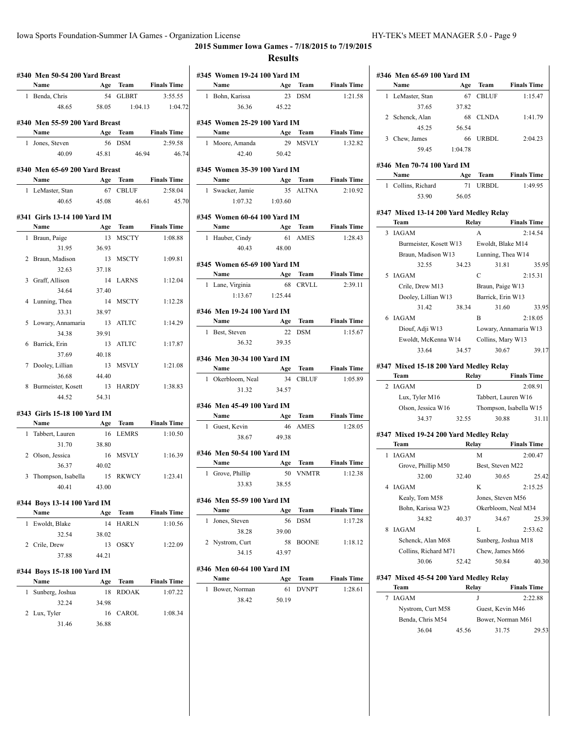## **2015 Summer Iowa Games - 7/18/2015 to 7/19/2015**

#### **Results**

|   | Name                                  |       |               | <b>Age Team Finals Time</b> |
|---|---------------------------------------|-------|---------------|-----------------------------|
|   | 1 Benda, Chris                        |       | 54 GLBRT      | 3:55.55                     |
|   | 48.65                                 |       | 58.05 1:04.13 | 1:04.72                     |
|   | #340 Men 55-59 200 Yard Breast        |       |               |                             |
|   | Name Age Team Finals Time             |       |               |                             |
|   | 1 Jones, Steven                       |       | 56 DSM        | 2:59.58                     |
|   |                                       |       |               | 40.09  45.81  46.94  46.74  |
|   |                                       |       |               |                             |
|   | #340 Men 65-69 200 Yard Breast        |       |               |                             |
|   | Name                                  |       |               | <b>Age Team Finals Time</b> |
|   | 1 LeMaster, Stan                      | 67    | CBLUF         | 2:58.04                     |
|   | 40.65 45.08                           |       | 46.61         | 45.70                       |
|   | #341 Girls 13-14 100 Yard IM          |       |               |                             |
|   | <b>Name</b>                           |       |               | Age Team Finals Time        |
|   | 1 Braun, Paige                        |       | 13 MSCTY      | 1:08.88                     |
|   | 31.95                                 | 36.93 |               |                             |
|   | 2 Braun, Madison                      | 13    | MSCTY         | 1:09.81                     |
|   | 32.63 37.18                           |       |               |                             |
|   | 3 Graff, Allison                      | 14    | LARNS         | 1:12.04                     |
|   | 34.64                                 | 37.40 |               |                             |
|   | 4 Lunning, Thea                       | 14    | MSCTY         | 1:12.28                     |
|   | 33.31                                 | 38.97 |               |                             |
|   | 5 Lowary, Annamaria                   |       | 13 ATLTC      | 1:14.29                     |
|   | 34.38                                 | 39.91 |               |                             |
|   | 6 Barrick, Erin                       |       | 13 ATLTC      | 1:17.87                     |
|   | 37.69                                 | 40.18 |               |                             |
|   | 7 Dooley, Lillian                     | 13    | MSVLY         | 1:21.08                     |
|   | 36.68                                 | 44.40 |               |                             |
|   | 8 Burmeister, Kosett 13 HARDY         |       |               | 1:38.83                     |
|   | 44.52                                 | 54.31 |               |                             |
|   | #343 Girls 15-18 100 Yard IM          |       |               |                             |
|   | Name                                  |       |               | Age Team Finals Time        |
|   | 1 Tabbert, Lauren                     |       | 16 LEMRS      | 1:10.50                     |
|   | 31.70                                 | 38.80 |               |                             |
|   | 2 Olson, Jessica                      |       | 16 MSVLY      | 1:16.39                     |
|   | 36.37                                 | 40.02 |               |                             |
|   | 3 Thompson, Isabella 15 RKWCY 1:23.41 |       |               |                             |
|   |                                       |       |               |                             |
|   |                                       |       |               |                             |
|   | 40.41                                 | 43.00 |               |                             |
|   | #344 Boys 13-14 100 Yard IM           |       |               |                             |
|   | Name                                  | Age   | Team          | <b>Finals Time</b>          |
| 1 | Ewoldt, Blake                         | 14    | <b>HARLN</b>  | 1:10.56                     |
|   | 32.54                                 | 38.02 |               |                             |
|   | 2 Crile, Drew                         | 13    | OSKY          | 1:22.09                     |
|   | 37.88                                 | 44.21 |               |                             |
|   | #344 Boys 15-18 100 Yard IM           |       |               |                             |
|   | Name                                  | Age   | Team          | <b>Finals Time</b>          |
| 1 | Sunberg, Joshua                       | 18    | <b>RDOAK</b>  | 1:07.22                     |
|   | 32.24                                 | 34.98 |               |                             |
|   | 2 Lux, Tyler                          | 16    | CAROL         | 1:08.34                     |

|              | #345 Women 19-24 100 Yard IM         |             |              |                                 |
|--------------|--------------------------------------|-------------|--------------|---------------------------------|
|              | Name                                 |             |              | Age Team Finals Time            |
| $\mathbf{1}$ | Bohn, Karissa                        |             | 23 DSM       | 1:21.58                         |
|              | 36.36                                | 45.22       |              |                                 |
|              | #345 Women 25-29 100 Yard IM         |             |              |                                 |
|              | Name                                 | Age Team    |              | <b>Finals Time</b>              |
| $\mathbf{1}$ | Moore, Amanda                        |             | 29 MSVLY     | 1:32.82                         |
|              | 42.40                                | 50.42       |              |                                 |
|              |                                      |             |              |                                 |
|              | #345 Women 35-39 100 Yard IM<br>Name |             |              |                                 |
|              | 1 Swacker, Jamie                     |             | 35 ALTNA     | Age Team Finals Time<br>2:10.92 |
|              | $1:07.32$ $1:03.60$                  |             |              |                                 |
|              |                                      |             |              |                                 |
|              | #345 Women 60-64 100 Yard IM         |             |              |                                 |
|              | Name                                 | Age         | Team         | <b>Finals Time</b>              |
|              | 1 Hauber, Cindy                      |             | 61 AMES      | 1:28.43                         |
|              | 40.43                                | 48.00       |              |                                 |
|              | #345 Women 65-69 100 Yard IM         |             |              |                                 |
|              | Name<br><b>Example 2</b> Age Team    |             |              | <b>Finals Time</b>              |
| $\mathbf{1}$ | Lane, Virginia                       | 68          | CRVLL        | 2:39.11                         |
|              | 1:13.67                              | 1:25.44     |              |                                 |
|              | #346 Men 19-24 100 Yard IM           |             |              |                                 |
|              |                                      |             | Age Team     | <b>Finals Time</b>              |
|              | Name                                 |             |              |                                 |
|              | 1 Best, Steven                       | 22          | DSM          | 1:15.67                         |
|              | 36.32                                | 39.35       |              |                                 |
|              |                                      |             |              |                                 |
|              | #346 Men 30-34 100 Yard IM           |             |              |                                 |
|              | Name                                 |             |              | Age Team Finals Time            |
|              | 1 Okerbloom, Neal<br>31.32           | 34<br>34.57 | <b>CBLUF</b> | 1:05.89                         |
|              |                                      |             |              |                                 |
|              | #346 Men 45-49 100 Yard IM           |             |              |                                 |
|              | <b>Name</b>                          | Age         | Team         | <b>Finals Time</b>              |
|              | 1 Guest, Kevin                       | 46          | <b>AMES</b>  | 1:28.05                         |
|              | 38.67                                | 49.38       |              |                                 |
|              | #346 Men 50-54 100 Yard IM           |             |              |                                 |
|              | Name                                 |             | Age Team     | <b>Finals Time</b>              |
| 1            | Grove, Phillip                       | 50          | <b>VNMTR</b> | 1:12.38                         |
|              | 33.83                                | 38.55       |              |                                 |
|              | #346 Men 55-59 100 Yard IM           |             |              |                                 |
|              | Name                                 | Age         | Team         | <b>Finals Time</b>              |
| 1            | Jones, Steven                        | 56          | <b>DSM</b>   | 1:17.28                         |
|              | 38.28                                | 39.00       |              |                                 |
|              | 2 Nystrom, Curt                      | 58          | <b>BOONE</b> | 1:18.12                         |
|              | 34.15                                | 43.97       |              |                                 |
|              | #346 Men 60-64 100 Yard IM           |             |              |                                 |
|              | Name                                 | Age         | Team         | <b>Finals Time</b>              |
| 1            | Bower, Norman                        | 61          | <b>DVNPT</b> | 1:28.61                         |

|   | #346 Men 65-69 100 Yard IM                     |         |                                        |                        |
|---|------------------------------------------------|---------|----------------------------------------|------------------------|
|   | Name                                           | Age     | Team                                   | <b>Finals Time</b>     |
| 1 | LeMaster, Stan                                 | 67      | <b>CBLUF</b>                           | 1:15.47                |
|   | 37.65                                          | 37.82   |                                        |                        |
| 2 | Schenck, Alan                                  | 68      | <b>CLNDA</b>                           | 1:41.79                |
|   | 45.25                                          | 56.54   |                                        |                        |
|   | 3 Chew, James                                  | 66      | <b>URBDL</b>                           | 2:04.23                |
|   | 59.45                                          | 1:04.78 |                                        |                        |
|   | #346 Men 70-74 100 Yard IM                     |         |                                        |                        |
|   | Name                                           | Age     | Team                                   | <b>Finals Time</b>     |
| 1 | Collins, Richard                               | 71      | <b>URBDL</b>                           | 1:49.95                |
|   | 53.90                                          | 56.05   |                                        |                        |
|   |                                                |         |                                        |                        |
|   | #347 Mixed 13-14 200 Yard Medley Relay<br>Team |         |                                        | <b>Finals Time</b>     |
| 3 | <b>IAGAM</b>                                   |         | Relay<br>A                             | 2:14.54                |
|   | Burmeister, Kosett W13                         |         |                                        |                        |
|   | Braun, Madison W13                             |         | Ewoldt, Blake M14<br>Lunning, Thea W14 |                        |
|   | 32.55                                          |         |                                        |                        |
|   |                                                | 34.23   | 31.81<br>$\mathcal{C}$                 | 35.95                  |
| 5 | <b>IAGAM</b>                                   |         |                                        | 2:15.31                |
|   | Crile, Drew M13                                |         | Braun, Paige W13                       |                        |
|   | Dooley, Lillian W13                            |         | Barrick, Erin W13                      |                        |
|   | 31.42                                          | 38.34   | 31.60                                  | 33.95                  |
| 6 | IAGAM                                          |         | B                                      | 2:18.05                |
|   | Diouf, Adji W13                                |         |                                        | Lowary, Annamaria W13  |
|   | Ewoldt, McKenna W14                            |         | Collins, Mary W13                      |                        |
|   | 33.64                                          | 34.57   | 30.67                                  | 39.17                  |
|   | #347 Mixed 15-18 200 Yard Medley Relay         |         |                                        |                        |
|   | Team                                           |         |                                        | Relay Finals Time      |
| 2 | <b>IAGAM</b>                                   |         | D                                      | 2:08.91                |
|   | Lux, Tyler M16                                 |         | Tabbert, Lauren W16                    |                        |
|   | Olson, Jessica W16                             |         |                                        | Thompson, Isabella W15 |
|   | 34.37                                          | 32.55   | 30.88                                  | 31.11                  |
|   | #347 Mixed 19-24 200 Yard Medley Relay         |         |                                        |                        |
|   | Team                                           |         | Relay                                  | <b>Finals Time</b>     |
| 1 | <b>IAGAM</b>                                   |         | M                                      | 2:00.47                |
|   | Grove, Phillip M50                             |         | Best, Steven M22                       |                        |
|   | 32.00                                          |         | 32.40 30.65                            | 25.42                  |
| 4 | IAGAM                                          |         | K                                      | 2:15.25                |
|   | Kealy, Tom M58                                 |         | Jones, Steven M56                      |                        |
|   | Bohn, Karissa W23                              |         | Okerbloom, Neal M34                    |                        |
|   | 34.82                                          | 40.37   | 34.67                                  | 25.39                  |
| 8 | <b>IAGAM</b>                                   |         | L                                      | 2:53.62                |
|   | Schenck, Alan M68                              |         | Sunberg, Joshua M18                    |                        |
|   | Collins, Richard M71                           |         | Chew, James M66                        |                        |
|   | 30.06                                          | 52.42   | 50.84                                  | 40.30                  |
|   |                                                |         |                                        |                        |
|   | #347  Mixed 45-54 200 Yard Medley Relay        |         |                                        |                        |
|   | Team                                           |         | Relay                                  | <b>Finals Time</b>     |
| 7 | IAGAM                                          |         | J                                      | 2:22.88                |
|   | Nystrom, Curt M58                              |         | Guest, Kevin M46                       |                        |
|   | Benda, Chris M54                               |         | Bower, Norman M61                      |                        |
|   | 36.04                                          | 45.56   | 31.75                                  | 29.53                  |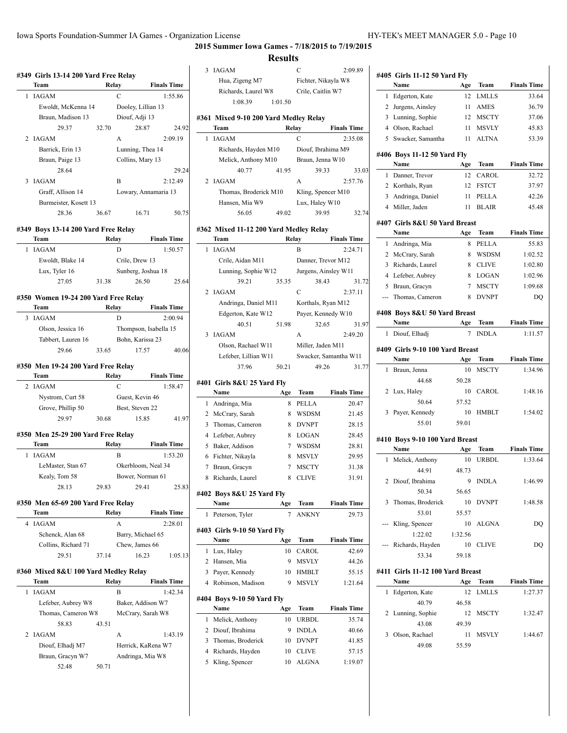**2015 Summer Iowa Games - 7/18/2015 to 7/19/2015**

#### **Results**

| Team                                 |       | Relay                                       | <b>Finals Time</b>                                                                                                                                    |  |
|--------------------------------------|-------|---------------------------------------------|-------------------------------------------------------------------------------------------------------------------------------------------------------|--|
| <b>IAGAM</b>                         |       | С                                           | 1:55.86                                                                                                                                               |  |
|                                      |       |                                             | Dooley, Lillian 13                                                                                                                                    |  |
| Braun, Madison 13                    |       | Diouf, Adji 13                              |                                                                                                                                                       |  |
| 29.37                                | 32.70 |                                             | 24.92<br>28.87                                                                                                                                        |  |
| IAGAM                                |       | A                                           | 2:09.19                                                                                                                                               |  |
| Barrick, Erin 13                     |       |                                             | Lunning, Thea 14                                                                                                                                      |  |
| Braun, Paige 13                      |       | Collins, Mary 13                            |                                                                                                                                                       |  |
| 28.64                                |       |                                             | 29.24                                                                                                                                                 |  |
| 3 IAGAM                              |       | B                                           | 2:12.49                                                                                                                                               |  |
| Graff, Allison 14                    |       |                                             | Lowary, Annamaria 13                                                                                                                                  |  |
|                                      |       |                                             |                                                                                                                                                       |  |
| 28.36                                | 36.67 |                                             | 16.71<br>50.75                                                                                                                                        |  |
|                                      |       |                                             |                                                                                                                                                       |  |
| Team                                 |       |                                             | <b>Finals Time</b>                                                                                                                                    |  |
| 1 IAGAM                              |       | D                                           | 1:50.57                                                                                                                                               |  |
| Ewoldt, Blake 14                     |       | Crile, Drew 13                              |                                                                                                                                                       |  |
| Lux, Tyler 16                        |       |                                             | Sunberg, Joshua 18                                                                                                                                    |  |
| 27.05                                |       |                                             | 26.50<br>25.64                                                                                                                                        |  |
|                                      |       |                                             |                                                                                                                                                       |  |
| Team                                 |       |                                             | <b>Finals Time</b>                                                                                                                                    |  |
| <b>IAGAM</b>                         |       | D                                           | 2:00.94                                                                                                                                               |  |
| Olson, Jessica 16                    |       |                                             | Thompson, Isabella 15                                                                                                                                 |  |
| Tabbert, Lauren 16                   |       | Bohn, Karissa 23                            |                                                                                                                                                       |  |
| 29.66                                | 33.65 |                                             | 17.57<br>40.06                                                                                                                                        |  |
|                                      |       |                                             |                                                                                                                                                       |  |
| Team                                 |       |                                             | <b>Finals Time</b>                                                                                                                                    |  |
| 2 IAGAM                              |       | C                                           | 1:58.47                                                                                                                                               |  |
|                                      |       | Guest, Kevin 46                             |                                                                                                                                                       |  |
| Nystrom, Curt 58                     |       |                                             |                                                                                                                                                       |  |
| Grove, Phillip 50                    |       | Best, Steven 22                             |                                                                                                                                                       |  |
| 29.97                                | 30.68 |                                             | 15.85<br>41.97                                                                                                                                        |  |
|                                      |       |                                             |                                                                                                                                                       |  |
| #350 Men 25-29 200 Yard Free Relay   |       |                                             |                                                                                                                                                       |  |
| Team                                 |       | Relay                                       | <b>Finals Time</b>                                                                                                                                    |  |
| <b>IAGAM</b>                         |       | B                                           | 1:53.20                                                                                                                                               |  |
| LeMaster, Stan 67                    |       |                                             | Okerbloom, Neal 34                                                                                                                                    |  |
| Kealy, Tom 58                        |       |                                             | Bower, Norman 61                                                                                                                                      |  |
| 28.13                                | 29.83 |                                             | 29.41<br>25.83                                                                                                                                        |  |
| #350 Men 65-69 200 Yard Free Relay   |       |                                             |                                                                                                                                                       |  |
| Team                                 |       | Relay                                       | <b>Finals Time</b>                                                                                                                                    |  |
| <b>IAGAM</b>                         |       | А                                           | 2:28.01                                                                                                                                               |  |
| Schenck, Alan 68                     |       |                                             | Barry, Michael 65                                                                                                                                     |  |
| Collins, Richard 71                  |       | Chew, James 66                              |                                                                                                                                                       |  |
| 29.51                                | 37.14 |                                             | 16.23<br>1:05.13                                                                                                                                      |  |
| #360 Mixed 8&U 100 Yard Medley Relay |       |                                             |                                                                                                                                                       |  |
| Team                                 |       | Relay                                       | <b>Finals Time</b>                                                                                                                                    |  |
| <b>IAGAM</b>                         |       | В                                           | 1:42.34                                                                                                                                               |  |
| Lefeber, Aubrey W8                   |       |                                             | Baker, Addison W7                                                                                                                                     |  |
| Thomas, Cameron W8                   |       |                                             | McCrary, Sarah W8                                                                                                                                     |  |
| 58.83                                | 43.51 |                                             |                                                                                                                                                       |  |
| <b>IAGAM</b>                         |       | А                                           | 1:43.19                                                                                                                                               |  |
| Diouf, Elhadj M7<br>Braun, Gracyn W7 |       |                                             | Herrick, KaRena W7<br>Andringa, Mia W8                                                                                                                |  |
|                                      |       | Ewoldt, McKenna 14<br>Burmeister, Kosett 13 | #349 Boys 13-14 200 Yard Free Relay<br>Relay<br>31.38<br>#350 Women 19-24 200 Yard Free Relay<br>Relay<br>#350 Men 19-24 200 Yard Free Relay<br>Relay |  |

|                | <b>IAGAM</b>                                  |                          | C                             | 2:09.89               |
|----------------|-----------------------------------------------|--------------------------|-------------------------------|-----------------------|
|                | Hua, Zigeng M7                                |                          | Fichter, Nikayla W8           |                       |
|                | Richards, Laurel W8                           |                          | Crile, Caitlin W7             |                       |
|                | 1:08.39                                       | 1:01.50                  |                               |                       |
|                |                                               |                          |                               |                       |
|                | #361 Mixed 9-10 200 Yard Medley Relay<br>Team |                          | Relay                         | <b>Finals Time</b>    |
| 1              | <b>IAGAM</b>                                  |                          | C                             | 2:35.08               |
|                | Richards, Hayden M10                          |                          | Diouf, Ibrahima M9            |                       |
|                | Melick, Anthony M10                           |                          | Braun, Jenna W10              |                       |
|                | 40.77                                         | 41.95                    | 39.33                         | 33.03                 |
| 2              | IAGAM                                         |                          | A                             | 2:57.76               |
|                | Thomas, Broderick M10                         |                          | Kling, Spencer M10            |                       |
|                | Hansen, Mia W9                                |                          | Lux, Haley W10                |                       |
|                | 56.05                                         | 49.02                    | 39.95                         | 32.74                 |
|                |                                               |                          |                               |                       |
|                | #362 Mixed 11-12 200 Yard Medley Relay        |                          |                               |                       |
|                | Team                                          |                          | Relay                         | <b>Finals Time</b>    |
| 1              | <b>IAGAM</b>                                  |                          | B                             | 2:24.71               |
|                | Crile, Aidan M11                              |                          | Danner, Trevor M12            |                       |
|                | Lunning, Sophie W12<br>39.21                  | 35.35                    | Jurgens, Ainsley W11<br>38.43 | 31.72                 |
| 2              | IAGAM                                         |                          | C                             | 2:37.11               |
|                | Andringa, Daniel M11                          |                          | Korthals, Ryan M12            |                       |
|                | Edgerton, Kate W12                            |                          | Payer, Kennedy W10            |                       |
|                | 40.51                                         | 51.98                    | 32.65                         | 31.97                 |
| 3              | <b>IAGAM</b>                                  |                          | A                             | 2:49.20               |
|                | Olson, Rachael W11                            |                          | Miller, Jaden M11             |                       |
|                | Lefeber, Lillian W11                          |                          |                               | Swacker, Samantha W11 |
|                | 37.96                                         | 50.21                    | 49.26                         | 31.77                 |
|                |                                               |                          |                               |                       |
|                |                                               |                          |                               |                       |
|                | #401   Girls 8&U 25 Yard Fly                  |                          |                               |                       |
|                | Name                                          | Age                      | Team                          | <b>Finals Time</b>    |
| 1              | Andringa, Mia                                 | 8                        | PELLA                         | 20.47                 |
| 2              | McCrary, Sarah                                | 8                        | <b>WSDSM</b><br><b>DVNPT</b>  | 21.45                 |
| 3<br>4         | Thomas, Cameron                               | 8<br>8                   |                               | 28.15<br>28.45        |
| 5              | Lefeber, Aubrey<br>Baker, Addison             | 7                        | <b>LOGAN</b><br><b>WSDSM</b>  | 28.81                 |
|                | 6 Fichter, Nikayla                            | 8                        | <b>MSVLY</b>                  | 29.95                 |
| 7              | Braun, Gracyn                                 | 7                        | <b>MSCTY</b>                  | 31.38                 |
| 8              | Richards, Laurel                              | 8                        | <b>CLIVE</b>                  | 31.91                 |
|                |                                               |                          |                               |                       |
|                | #402 Boys 8&U 25 Yard Fly                     |                          |                               |                       |
|                | Name                                          | Age                      | Team                          | <b>Finals Time</b>    |
| 1              | Peterson, Tyler                               | $\overline{\mathcal{I}}$ | <b>ANKNY</b>                  | 29.73                 |
|                | #403 Girls 9-10 50 Yard Flv                   |                          |                               |                       |
|                | Name                                          | Age                      | Team                          | <b>Finals Time</b>    |
| 1              | Lux, Haley                                    | 10                       | CAROL                         | 42.69                 |
| 2              | Hansen, Mia                                   | 9                        | <b>MSVLY</b>                  | 44.26                 |
| 3              | Payer, Kennedy                                | 10                       | HMBLT                         | 55.15                 |
| $\overline{4}$ | Robinson, Madison                             | 9                        | <b>MSVLY</b>                  | 1:21.64               |
|                | #404 Boys 9-10 50 Yard Fly                    |                          |                               |                       |
|                | Name                                          | Age                      | Team                          | <b>Finals Time</b>    |
| 1              | Melick, Anthony                               | 10                       | <b>URBDL</b>                  | 35.74                 |
| 2              | Diouf, Ibrahima                               | 9                        | <b>INDLA</b>                  | 40.66                 |
| 3              | Thomas, Broderick                             | 10                       | <b>DVNPT</b>                  | 41.85                 |
| 4              | Richards, Hayden                              | 10                       | <b>CLIVE</b>                  | 57.15                 |
| 5              | Kling, Spencer                                | 10                       | <b>ALGNA</b>                  | 1:19.07               |

 $\overline{\phantom{0}}$ 

|     | #405 Girls 11-12 50 Yard Fly     |             |              |                    |
|-----|----------------------------------|-------------|--------------|--------------------|
|     | Name                             | Age         | Team         | <b>Finals Time</b> |
| 1   | Edgerton, Kate                   | 12          | <b>LMLLS</b> | 33.64              |
| 2   | Jurgens, Ainsley                 | 11          | <b>AMES</b>  | 36.79              |
| 3   | Lunning, Sophie                  | 12          | <b>MSCTY</b> | 37.06              |
|     | 4 Olson, Rachael                 | 11          | <b>MSVLY</b> | 45.83              |
| 5   | Swacker, Samantha                | 11          | <b>ALTNA</b> | 53.39              |
|     | #406 Boys 11-12 50 Yard Fly      |             |              |                    |
|     | Name                             | Age         | <b>Team</b>  | <b>Finals Time</b> |
| 1   | Danner, Trevor                   | 12          | CAROL        | 32.72              |
| 2   | Korthals, Ryan                   | 12          | <b>FSTCT</b> | 37.97              |
| 3   | Andringa, Daniel                 | 11          | <b>PELLA</b> | 42.26              |
|     | 4 Miller, Jaden                  | 11          | <b>BLAIR</b> | 45.48              |
|     | #407 Girls 8&U 50 Yard Breast    |             |              |                    |
|     | Name                             | Age         | Team         | <b>Finals Time</b> |
| 1   | Andringa, Mia                    | 8           | PELLA        | 55.83              |
| 2   | McCrary, Sarah                   | 8           | <b>WSDSM</b> | 1:02.52            |
| 3   | Richards, Laurel                 | 8           | <b>CLIVE</b> | 1:02.80            |
| 4   | Lefeber, Aubrey                  | 8           | <b>LOGAN</b> | 1:02.96            |
| 5   | Braun, Gracyn                    | 7           | <b>MSCTY</b> | 1:09.68            |
| --- | Thomas, Cameron                  | 8           | <b>DVNPT</b> | DO                 |
|     | #408 Boys 8&U 50 Yard Breast     |             |              |                    |
|     | Name                             | Age         | Team         | <b>Finals Time</b> |
| 1   | Diouf, Elhadj                    | 7           | <b>INDLA</b> | 1:11.57            |
|     | #409 Girls 9-10 100 Yard Breast  |             |              |                    |
|     | Name                             | Age         | Team         | <b>Finals Time</b> |
| 1   | Braun, Jenna                     | 10          | <b>MSCTY</b> | 1:34.96            |
|     | 44.68                            | 50.28       |              |                    |
| 2   | Lux, Haley                       | 10          | CAROL        | 1:48.16            |
|     | 50.64                            | 57.52       |              |                    |
| 3   | Payer, Kennedy                   | 10          | HMBLT        | 1:54.02            |
|     | 55.01                            | 59.01       |              |                    |
|     | #410 Boys 9-10 100 Yard Breast   |             |              |                    |
|     | Name                             | Age         | Team         | <b>Finals Time</b> |
| 1   | Melick, Anthony                  | 10          | URBDL        | 1:33.64            |
|     | 44.91                            | 48.73       |              |                    |
| 2   |                                  |             |              |                    |
|     | Diouf, Ibrahima                  | 9           | <b>INDLA</b> | 1:46.99            |
|     | 50.34                            | 56.65       |              |                    |
| 3   | Thomas, Broderick                | 10          | <b>DVNPT</b> | 1:48.58            |
|     | 53.01                            | 55.57       |              |                    |
| --- | Kling, Spencer                   | 10          | <b>ALGNA</b> | DQ                 |
|     | 1:22.02                          | 1:32.56     |              |                    |
|     | --- Richards, Hayden             | 10          | <b>CLIVE</b> | DQ                 |
|     | 53.34                            | 59.18       |              |                    |
|     | #411 Girls 11-12 100 Yard Breast |             |              |                    |
|     | Name                             | Age         | Team         | <b>Finals Time</b> |
| 1   | Edgerton, Kate                   | 12          | <b>LMLLS</b> | 1:27.37            |
| 2   | 40.79                            | 46.58       |              |                    |
|     | Lunning, Sophie                  | 12          | <b>MSCTY</b> | 1:32.47            |
| 3   | 43.08                            | 49.39<br>11 | MSVLY        |                    |
|     | Olson, Rachael<br>49.08          | 55.59       |              | 1:44.67            |